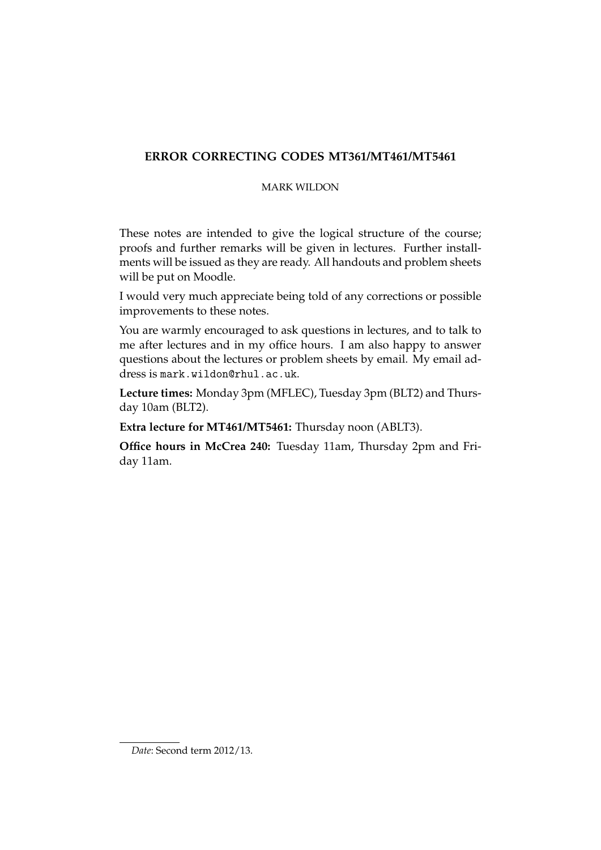# **ERROR CORRECTING CODES MT361/MT461/MT5461**

# MARK WILDON

These notes are intended to give the logical structure of the course; proofs and further remarks will be given in lectures. Further installments will be issued as they are ready. All handouts and problem sheets will be put on Moodle.

I would very much appreciate being told of any corrections or possible improvements to these notes.

You are warmly encouraged to ask questions in lectures, and to talk to me after lectures and in my office hours. I am also happy to answer questions about the lectures or problem sheets by email. My email address is mark.wildon@rhul.ac.uk.

**Lecture times:** Monday 3pm (MFLEC), Tuesday 3pm (BLT2) and Thursday 10am (BLT2).

**Extra lecture for MT461/MT5461:** Thursday noon (ABLT3).

**Office hours in McCrea 240:** Tuesday 11am, Thursday 2pm and Friday 11am.

*Date*: Second term 2012/13.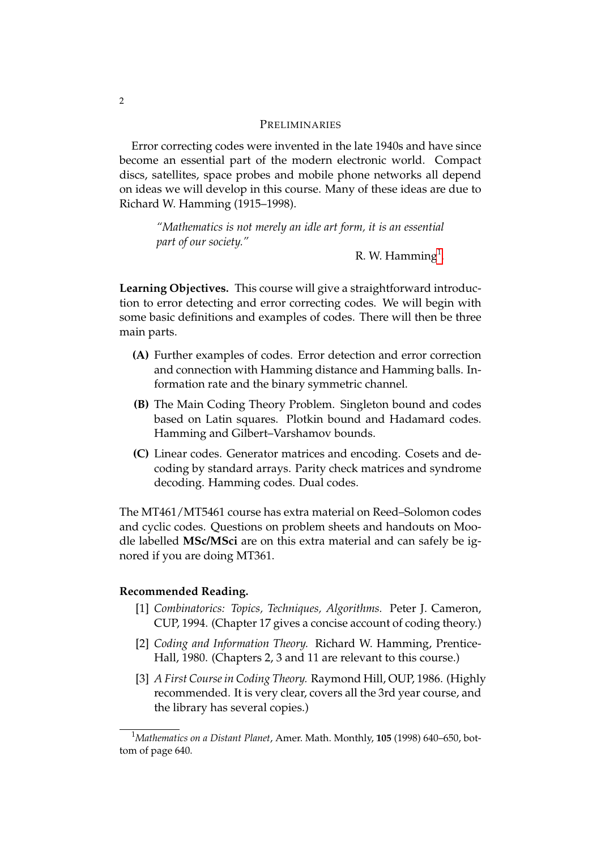#### PRELIMINARIES

Error correcting codes were invented in the late 1940s and have since become an essential part of the modern electronic world. Compact discs, satellites, space probes and mobile phone networks all depend on ideas we will develop in this course. Many of these ideas are due to Richard W. Hamming (1915–1998).

> *"Mathematics is not merely an idle art form, it is an essential part of our society."*

> > R. W. Hamming<sup>[1](#page-1-0)</sup>.

**Learning Objectives.** This course will give a straightforward introduction to error detecting and error correcting codes. We will begin with some basic definitions and examples of codes. There will then be three main parts.

- **(A)** Further examples of codes. Error detection and error correction and connection with Hamming distance and Hamming balls. Information rate and the binary symmetric channel.
- **(B)** The Main Coding Theory Problem. Singleton bound and codes based on Latin squares. Plotkin bound and Hadamard codes. Hamming and Gilbert–Varshamov bounds.
- **(C)** Linear codes. Generator matrices and encoding. Cosets and decoding by standard arrays. Parity check matrices and syndrome decoding. Hamming codes. Dual codes.

The MT461/MT5461 course has extra material on Reed–Solomon codes and cyclic codes. Questions on problem sheets and handouts on Moodle labelled **MSc/MSci** are on this extra material and can safely be ignored if you are doing MT361.

## **Recommended Reading.**

- [1] *Combinatorics: Topics, Techniques, Algorithms.* Peter J. Cameron, CUP, 1994. (Chapter 17 gives a concise account of coding theory.)
- [2] *Coding and Information Theory.* Richard W. Hamming, Prentice-Hall, 1980. (Chapters 2, 3 and 11 are relevant to this course.)
- [3] *A First Course in Coding Theory.* Raymond Hill, OUP, 1986. (Highly recommended. It is very clear, covers all the 3rd year course, and the library has several copies.)

<span id="page-1-0"></span><sup>1</sup>*Mathematics on a Distant Planet*, Amer. Math. Monthly, **105** (1998) 640–650, bottom of page 640.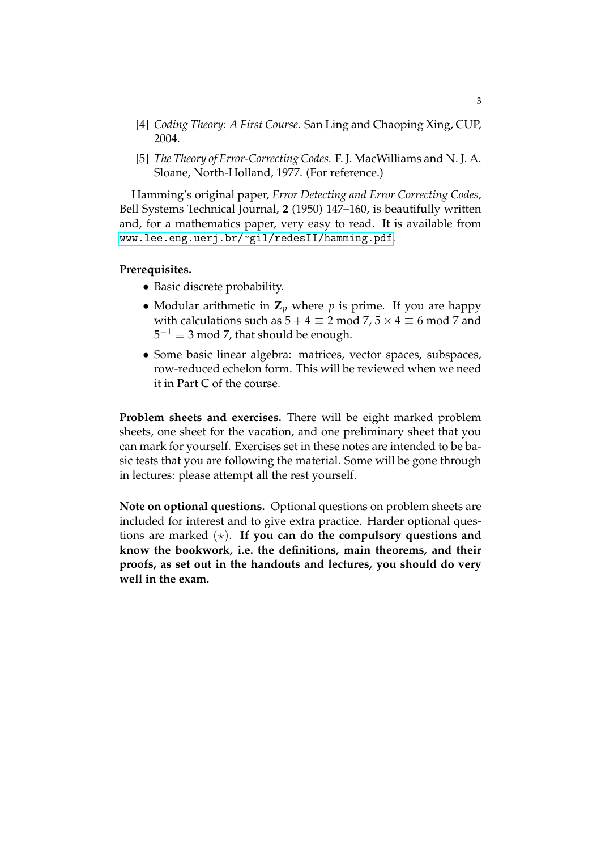- [4] *Coding Theory: A First Course.* San Ling and Chaoping Xing, CUP, 2004.
- [5] *The Theory of Error-Correcting Codes.* F. J. MacWilliams and N. J. A. Sloane, North-Holland, 1977. (For reference.)

Hamming's original paper, *Error Detecting and Error Correcting Codes*, Bell Systems Technical Journal, **2** (1950) 147–160, is beautifully written and, for a mathematics paper, very easy to read. It is available from <www.lee.eng.uerj.br/~gil/redesII/hamming.pdf>.

### **Prerequisites.**

- Basic discrete probability.
- Modular arithmetic in  $\mathbb{Z}_p$  where p is prime. If you are happy with calculations such as  $5 + 4 \equiv 2 \mod 7$ ,  $5 \times 4 \equiv 6 \mod 7$  and  $5^{-1} \equiv 3 \mod 7$ , that should be enough.
- Some basic linear algebra: matrices, vector spaces, subspaces, row-reduced echelon form. This will be reviewed when we need it in Part C of the course.

**Problem sheets and exercises.** There will be eight marked problem sheets, one sheet for the vacation, and one preliminary sheet that you can mark for yourself. Exercises set in these notes are intended to be basic tests that you are following the material. Some will be gone through in lectures: please attempt all the rest yourself.

**Note on optional questions.** Optional questions on problem sheets are included for interest and to give extra practice. Harder optional questions are marked  $(\star)$ . If you can do the compulsory questions and **know the bookwork, i.e. the definitions, main theorems, and their proofs, as set out in the handouts and lectures, you should do very well in the exam.**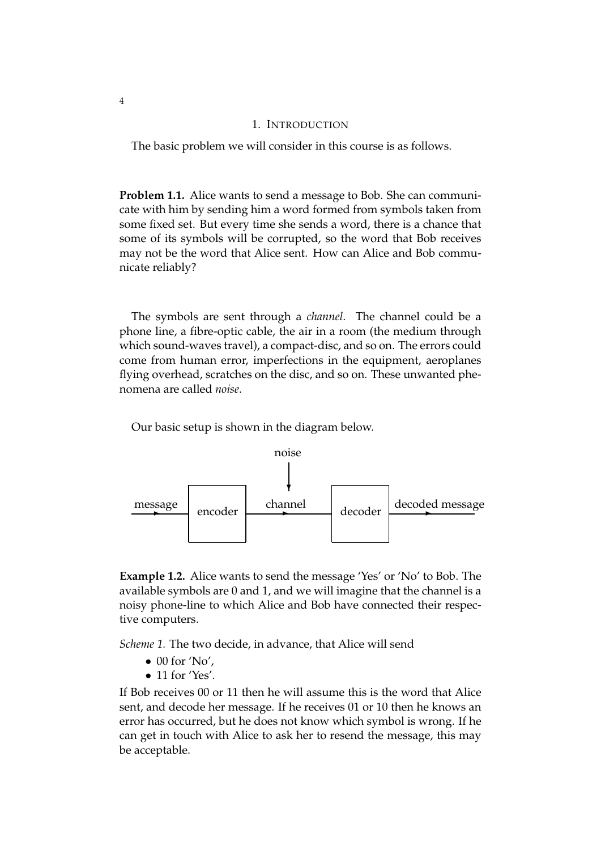#### 1. INTRODUCTION

The basic problem we will consider in this course is as follows.

**Problem 1.1.** Alice wants to send a message to Bob. She can communicate with him by sending him a word formed from symbols taken from some fixed set. But every time she sends a word, there is a chance that some of its symbols will be corrupted, so the word that Bob receives may not be the word that Alice sent. How can Alice and Bob communicate reliably?

The symbols are sent through a *channel*. The channel could be a phone line, a fibre-optic cable, the air in a room (the medium through which sound-waves travel), a compact-disc, and so on. The errors could come from human error, imperfections in the equipment, aeroplanes flying overhead, scratches on the disc, and so on. These unwanted phenomena are called *noise*.

Our basic setup is shown in the diagram below.



**Example 1.2.** Alice wants to send the message 'Yes' or 'No' to Bob. The available symbols are 0 and 1, and we will imagine that the channel is a noisy phone-line to which Alice and Bob have connected their respective computers.

*Scheme 1.* The two decide, in advance, that Alice will send

- $\bullet$  00 for 'No'.
- $\bullet$  11 for 'Yes'.

If Bob receives 00 or 11 then he will assume this is the word that Alice sent, and decode her message. If he receives 01 or 10 then he knows an error has occurred, but he does not know which symbol is wrong. If he can get in touch with Alice to ask her to resend the message, this may be acceptable.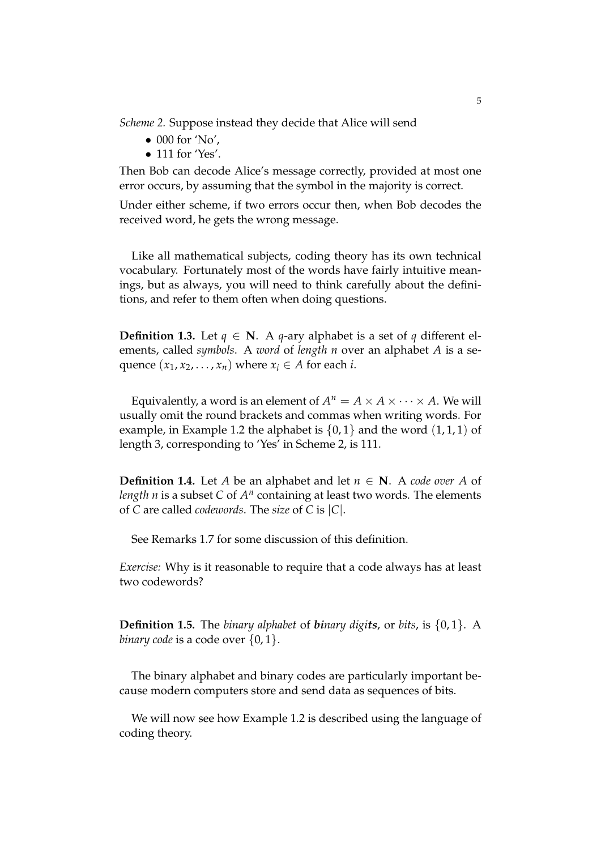*Scheme 2.* Suppose instead they decide that Alice will send

- $\bullet$  000 for 'No',
- 111 for 'Yes'.

Then Bob can decode Alice's message correctly, provided at most one error occurs, by assuming that the symbol in the majority is correct.

Under either scheme, if two errors occur then, when Bob decodes the received word, he gets the wrong message.

Like all mathematical subjects, coding theory has its own technical vocabulary. Fortunately most of the words have fairly intuitive meanings, but as always, you will need to think carefully about the definitions, and refer to them often when doing questions.

**Definition 1.3.** Let  $q \in \mathbb{N}$ . A *q*-ary alphabet is a set of *q* different elements, called *symbols*. A *word* of *length n* over an alphabet *A* is a sequence  $(x_1, x_2, \ldots, x_n)$  where  $x_i \in A$  for each *i*.

Equivalently, a word is an element of  $A^n = A \times A \times \cdots \times A$ . We will usually omit the round brackets and commas when writing words. For example, in Example 1.2 the alphabet is  $\{0, 1\}$  and the word  $(1, 1, 1)$  of length 3, corresponding to 'Yes' in Scheme 2, is 111.

**Definition 1.4.** Let *A* be an alphabet and let  $n \in \mathbb{N}$ . A *code over A* of *length n* is a subset *C* of  $A<sup>n</sup>$  containing at least two words. The elements of *C* are called *codewords*. The *size* of *C* is |*C*|.

See Remarks 1.7 for some discussion of this definition.

*Exercise:* Why is it reasonable to require that a code always has at least two codewords?

**Definition 1.5.** The *binary alphabet* of *binary digits*, or *bits*, is {0, 1}. A *binary code* is a code over  $\{0, 1\}$ .

The binary alphabet and binary codes are particularly important because modern computers store and send data as sequences of bits.

We will now see how Example 1.2 is described using the language of coding theory.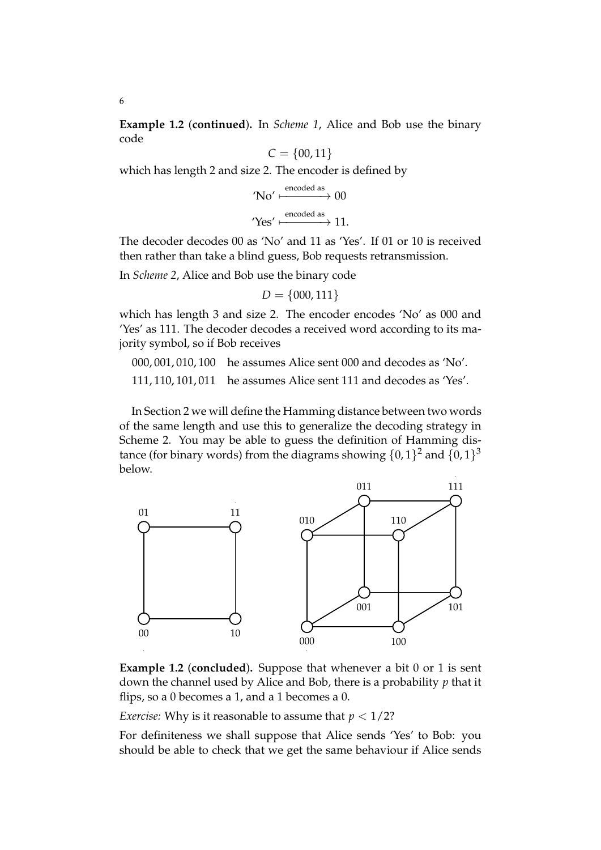**Example 1.2** (**continued**)**.** In *Scheme 1*, Alice and Bob use the binary code

 $C = \{00, 11\}$ 

which has length 2 and size 2. The encoder is defined by

'No' 
$$
\xrightarrow{\text{encoded as}}
$$
 00  
'Yes'  $\xrightarrow{\text{encoded as}}$  11.

The decoder decodes 00 as 'No' and 11 as 'Yes'. If 01 or 10 is received then rather than take a blind guess, Bob requests retransmission.

In *Scheme 2*, Alice and Bob use the binary code

 $D = \{000, 111\}$ 

which has length 3 and size 2. The encoder encodes 'No' as 000 and 'Yes' as 111. The decoder decodes a received word according to its majority symbol, so if Bob receives

000, 001, 010, 100 he assumes Alice sent 000 and decodes as 'No'. 111, 110, 101, 011 he assumes Alice sent 111 and decodes as 'Yes'.

In Section 2 we will define the Hamming distance between two words of the same length and use this to generalize the decoding strategy in Scheme 2. You may be able to guess the definition of Hamming distance (for binary words) from the diagrams showing  $\{0,1\}^2$  and  $\{0,1\}^3$ below.



**Example 1.2** (**concluded**)**.** Suppose that whenever a bit 0 or 1 is sent down the channel used by Alice and Bob, there is a probability *p* that it flips, so a 0 becomes a 1, and a 1 becomes a 0.

*Exercise:* Why is it reasonable to assume that  $p < 1/2$ ?

For definiteness we shall suppose that Alice sends 'Yes' to Bob: you should be able to check that we get the same behaviour if Alice sends

6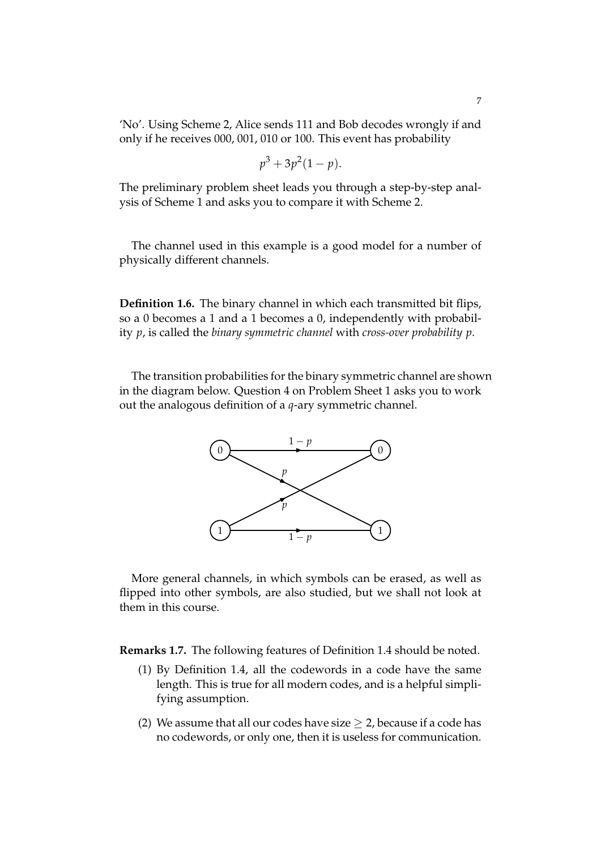'No'. Using Scheme 2, Alice sends 111 and Bob decodes wrongly if and only if he receives 000, 001, 010 or 100. This event has probability

$$
p^3 + 3p^2(1-p).
$$

The preliminary problem sheet leads you through a step-by-step analysis of Scheme 1 and asks you to compare it with Scheme 2.

The channel used in this example is a good model for a number of physically different channels.

**Definition 1.6.** The binary channel in which each transmitted bit flips, so a 0 becomes a 1 and a 1 becomes a 0, independently with probability *p*, is called the *binary symmetric channel* with *cross-over probability p*.

The transition probabilities for the binary symmetric channel are shown in the diagram below. Question 4 on Problem Sheet 1 asks you to work out the analogous definition of a *q*-ary symmetric channel.



More general channels, in which symbols can be erased, as well as flipped into other symbols, are also studied, but we shall not look at them in this course.

**Remarks 1.7.** The following features of Definition 1.4 should be noted.

- (1) By Definition 1.4, all the codewords in a code have the same length. This is true for all modern codes, and is a helpful simplifying assumption.
- (2) We assume that all our codes have size  $>$  2, because if a code has no codewords, or only one, then it is useless for communication.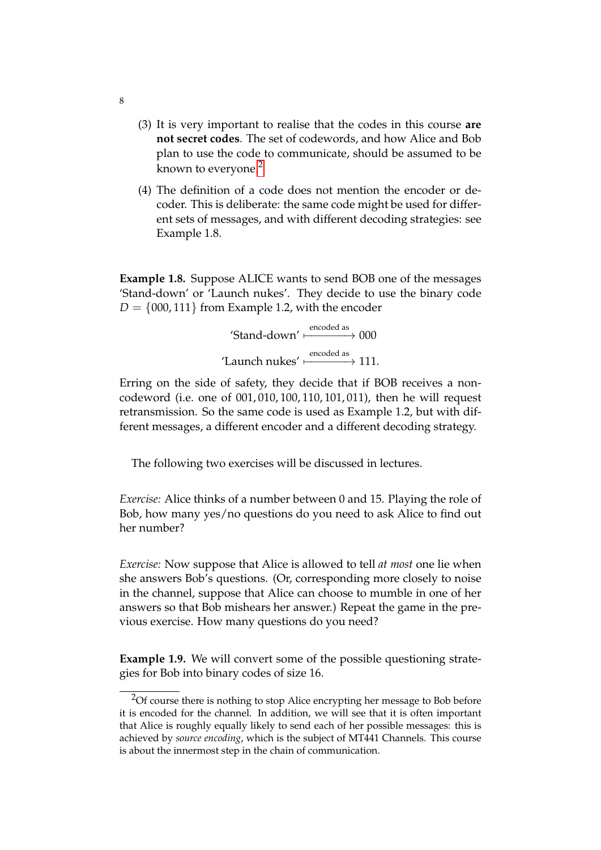- (3) It is very important to realise that the codes in this course **are not secret codes**. The set of codewords, and how Alice and Bob plan to use the code to communicate, should be assumed to be known to everyone. $2$
- (4) The definition of a code does not mention the encoder or decoder. This is deliberate: the same code might be used for different sets of messages, and with different decoding strategies: see Example 1.8.

**Example 1.8.** Suppose ALICE wants to send BOB one of the messages 'Stand-down' or 'Launch nukes'. They decide to use the binary code  $D = \{000, 111\}$  from Example 1.2, with the encoder

> $\text{ 'Stand-down' } \longmapsto 000$  $\prime$ Launch nukes $\prime \longmapsto$  necoded as 111.

Erring on the side of safety, they decide that if BOB receives a noncodeword (i.e. one of 001, 010, 100, 110, 101, 011), then he will request retransmission. So the same code is used as Example 1.2, but with different messages, a different encoder and a different decoding strategy.

The following two exercises will be discussed in lectures.

*Exercise:* Alice thinks of a number between 0 and 15. Playing the role of Bob, how many yes/no questions do you need to ask Alice to find out her number?

*Exercise:* Now suppose that Alice is allowed to tell *at most* one lie when she answers Bob's questions. (Or, corresponding more closely to noise in the channel, suppose that Alice can choose to mumble in one of her answers so that Bob mishears her answer.) Repeat the game in the previous exercise. How many questions do you need?

**Example 1.9.** We will convert some of the possible questioning strategies for Bob into binary codes of size 16.

<span id="page-7-0"></span><sup>&</sup>lt;sup>2</sup>Of course there is nothing to stop Alice encrypting her message to Bob before it is encoded for the channel. In addition, we will see that it is often important that Alice is roughly equally likely to send each of her possible messages: this is achieved by *source encoding*, which is the subject of MT441 Channels. This course is about the innermost step in the chain of communication.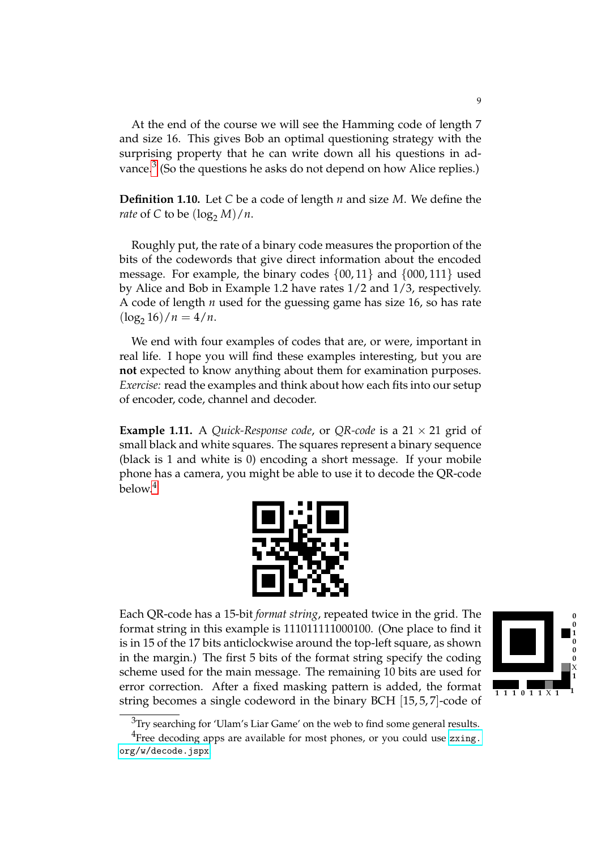At the end of the course we will see the Hamming code of length 7 and size 16. This gives Bob an optimal questioning strategy with the surprising property that he can write down all his questions in advance. $3$  (So the questions he asks do not depend on how Alice replies.)

**Definition 1.10.** Let *C* be a code of length *n* and size *M*. We define the *rate* of *C* to be  $(\log_2 M)/n$ .

Roughly put, the rate of a binary code measures the proportion of the bits of the codewords that give direct information about the encoded message. For example, the binary codes  $\{00, 11\}$  and  $\{000, 111\}$  used by Alice and Bob in Example 1.2 have rates 1/2 and 1/3, respectively. A code of length *n* used for the guessing game has size 16, so has rate  $(\log_2 16)/n = 4/n$ .

We end with four examples of codes that are, or were, important in real life. I hope you will find these examples interesting, but you are **not** expected to know anything about them for examination purposes. *Exercise:* read the examples and think about how each fits into our setup of encoder, code, channel and decoder.

**Example 1.11.** A *Quick-Response code*, or *QR-code* is a 21 × 21 grid of small black and white squares. The squares represent a binary sequence (black is 1 and white is 0) encoding a short message. If your mobile phone has a camera, you might be able to use it to decode the QR-code below.<sup>[4](#page-8-1)</sup>



Each QR-code has a 15-bit *format string*, repeated twice in the grid. The format string in this example is 111011111000100. (One place to find it is in 15 of the 17 bits anticlockwise around the top-left square, as shown in the margin.) The first 5 bits of the format string specify the coding scheme used for the main message. The remaining 10 bits are used for error correction. After a fixed masking pattern is added, the format string becomes a single codeword in the binary BCH [15, 5, 7]-code of



 $3$ Try searching for 'Ulam's Liar Game' on the web to find some general results.

<span id="page-8-1"></span><span id="page-8-0"></span> ${}^{4}$ Free decoding apps are available for most phones, or you could use [zxing.](zxing.org/w/decode.jspx) [org/w/decode.jspx](zxing.org/w/decode.jspx).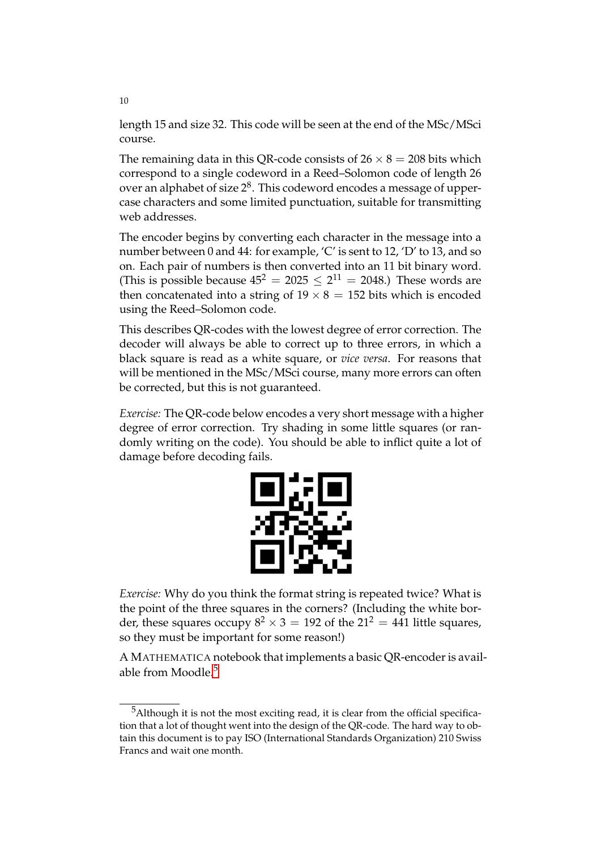length 15 and size 32. This code will be seen at the end of the MSc/MSci course.

The remaining data in this QR-code consists of  $26 \times 8 = 208$  bits which correspond to a single codeword in a Reed–Solomon code of length 26 over an alphabet of size  $2^8$ . This codeword encodes a message of uppercase characters and some limited punctuation, suitable for transmitting web addresses.

The encoder begins by converting each character in the message into a number between 0 and 44: for example, 'C' is sent to 12, 'D' to 13, and so on. Each pair of numbers is then converted into an 11 bit binary word. (This is possible because  $45^2 = 2025 \le 2^{11} = 2048$ .) These words are then concatenated into a string of  $19 \times 8 = 152$  bits which is encoded using the Reed–Solomon code.

This describes QR-codes with the lowest degree of error correction. The decoder will always be able to correct up to three errors, in which a black square is read as a white square, or *vice versa*. For reasons that will be mentioned in the MSc/MSci course, many more errors can often be corrected, but this is not guaranteed.

*Exercise:* The QR-code below encodes a very short message with a higher degree of error correction. Try shading in some little squares (or randomly writing on the code). You should be able to inflict quite a lot of damage before decoding fails.



*Exercise:* Why do you think the format string is repeated twice? What is the point of the three squares in the corners? (Including the white border, these squares occupy  $8^2 \times 3 = 192$  of the  $21^2 = 441$  little squares, so they must be important for some reason!)

A MATHEMATICA notebook that implements a basic QR-encoder is avail-able from Moodle.<sup>[5](#page-9-0)</sup>

<span id="page-9-0"></span><sup>&</sup>lt;sup>5</sup>Although it is not the most exciting read, it is clear from the official specification that a lot of thought went into the design of the QR-code. The hard way to obtain this document is to pay ISO (International Standards Organization) 210 Swiss Francs and wait one month.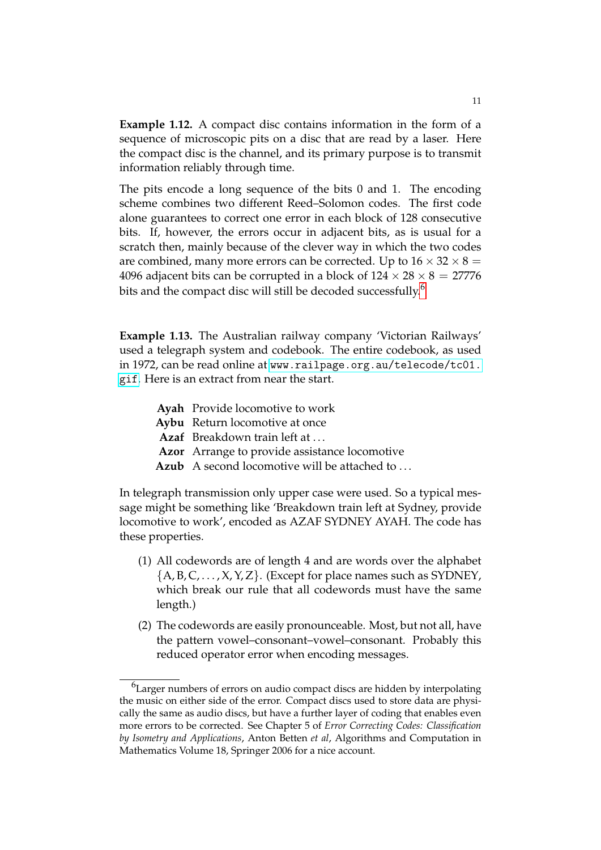**Example 1.12.** A compact disc contains information in the form of a sequence of microscopic pits on a disc that are read by a laser. Here the compact disc is the channel, and its primary purpose is to transmit information reliably through time.

The pits encode a long sequence of the bits 0 and 1. The encoding scheme combines two different Reed–Solomon codes. The first code alone guarantees to correct one error in each block of 128 consecutive bits. If, however, the errors occur in adjacent bits, as is usual for a scratch then, mainly because of the clever way in which the two codes are combined, many more errors can be corrected. Up to  $16 \times 32 \times 8 =$ 4096 adjacent bits can be corrupted in a block of  $124 \times 28 \times 8 = 27776$ bits and the compact disc will still be decoded successfully.<sup>[6](#page-10-0)</sup>

**Example 1.13.** The Australian railway company 'Victorian Railways' used a telegraph system and codebook. The entire codebook, as used in 1972, can be read online at [www.railpage.org.au/telecode/tc01.](www.railpage.org.au/telecode/tc01.gif) [gif](www.railpage.org.au/telecode/tc01.gif). Here is an extract from near the start.

- **Ayah** Provide locomotive to work
- **Aybu** Return locomotive at once
- **Azaf** Breakdown train left at . . .
- **Azor** Arrange to provide assistance locomotive
- Azub A second locomotive will be attached to ...

In telegraph transmission only upper case were used. So a typical message might be something like 'Breakdown train left at Sydney, provide locomotive to work', encoded as AZAF SYDNEY AYAH. The code has these properties.

- (1) All codewords are of length 4 and are words over the alphabet  $\{A, B, C, \ldots, X, Y, Z\}$ . (Except for place names such as SYDNEY, which break our rule that all codewords must have the same length.)
- (2) The codewords are easily pronounceable. Most, but not all, have the pattern vowel–consonant–vowel–consonant. Probably this reduced operator error when encoding messages.

<span id="page-10-0"></span> ${}^{6}$ Larger numbers of errors on audio compact discs are hidden by interpolating the music on either side of the error. Compact discs used to store data are physically the same as audio discs, but have a further layer of coding that enables even more errors to be corrected. See Chapter 5 of *Error Correcting Codes: Classification by Isometry and Applications*, Anton Betten *et al*, Algorithms and Computation in Mathematics Volume 18, Springer 2006 for a nice account.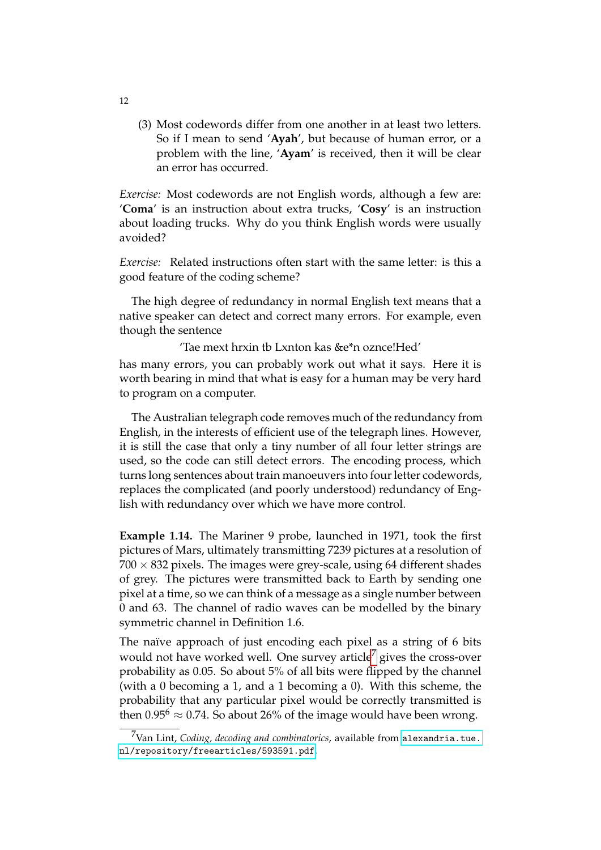(3) Most codewords differ from one another in at least two letters. So if I mean to send '**Ayah**', but because of human error, or a problem with the line, '**Ayam**' is received, then it will be clear an error has occurred.

*Exercise:* Most codewords are not English words, although a few are: '**Coma**' is an instruction about extra trucks, '**Cosy**' is an instruction about loading trucks. Why do you think English words were usually avoided?

*Exercise:* Related instructions often start with the same letter: is this a good feature of the coding scheme?

The high degree of redundancy in normal English text means that a native speaker can detect and correct many errors. For example, even though the sentence

'Tae mext hrxin tb Lxnton kas &e\*n oznce!Hed' has many errors, you can probably work out what it says. Here it is worth bearing in mind that what is easy for a human may be very hard to program on a computer.

The Australian telegraph code removes much of the redundancy from English, in the interests of efficient use of the telegraph lines. However, it is still the case that only a tiny number of all four letter strings are used, so the code can still detect errors. The encoding process, which turns long sentences about train manoeuvers into four letter codewords, replaces the complicated (and poorly understood) redundancy of English with redundancy over which we have more control.

**Example 1.14.** The Mariner 9 probe, launched in 1971, took the first pictures of Mars, ultimately transmitting 7239 pictures at a resolution of  $700 \times 832$  pixels. The images were grey-scale, using 64 different shades of grey. The pictures were transmitted back to Earth by sending one pixel at a time, so we can think of a message as a single number between 0 and 63. The channel of radio waves can be modelled by the binary symmetric channel in Definition 1.6.

The naïve approach of just encoding each pixel as a string of 6 bits would not have worked well. One survey article<sup>[7](#page-11-0)</sup> gives the cross-over probability as 0.05. So about 5% of all bits were flipped by the channel (with a 0 becoming a 1, and a 1 becoming a 0). With this scheme, the probability that any particular pixel would be correctly transmitted is then  $0.95^6 \approx 0.74$ . So about 26% of the image would have been wrong.

<span id="page-11-0"></span><sup>7</sup>Van Lint, *Coding, decoding and combinatorics*, available from [alexandria.tue.](alexandria.tue.nl/repository/freearticles/593591.pdf) [nl/repository/freearticles/593591.pdf](alexandria.tue.nl/repository/freearticles/593591.pdf).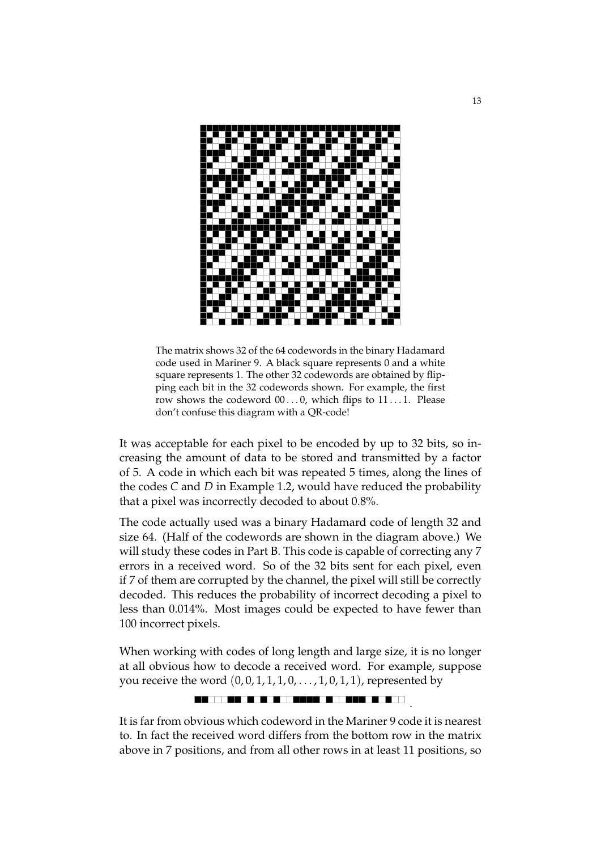

The matrix shows 32 of the 64 codewords in the binary Hadamard code used in Mariner 9. A black square represents 0 and a white square represents 1. The other 32 codewords are obtained by flipping each bit in the 32 codewords shown. For example, the first row shows the codeword  $00...0$ , which flips to  $11...1$ . Please don't confuse this diagram with a QR-code!

It was acceptable for each pixel to be encoded by up to 32 bits, so increasing the amount of data to be stored and transmitted by a factor of 5. A code in which each bit was repeated 5 times, along the lines of the codes *C* and *D* in Example 1.2, would have reduced the probability that a pixel was incorrectly decoded to about 0.8%.

The code actually used was a binary Hadamard code of length 32 and size 64. (Half of the codewords are shown in the diagram above.) We will study these codes in Part B. This code is capable of correcting any 7 errors in a received word. So of the 32 bits sent for each pixel, even if 7 of them are corrupted by the channel, the pixel will still be correctly decoded. This reduces the probability of incorrect decoding a pixel to less than 0.014%. Most images could be expected to have fewer than 100 incorrect pixels.

When working with codes of long length and large size, it is no longer at all obvious how to decode a received word. For example, suppose you receive the word  $(0, 0, 1, 1, 1, 0, \ldots, 1, 0, 1, 1)$ , represented by



It is far from obvious which codeword in the Mariner 9 code it is nearest to. In fact the received word differs from the bottom row in the matrix above in 7 positions, and from all other rows in at least 11 positions, so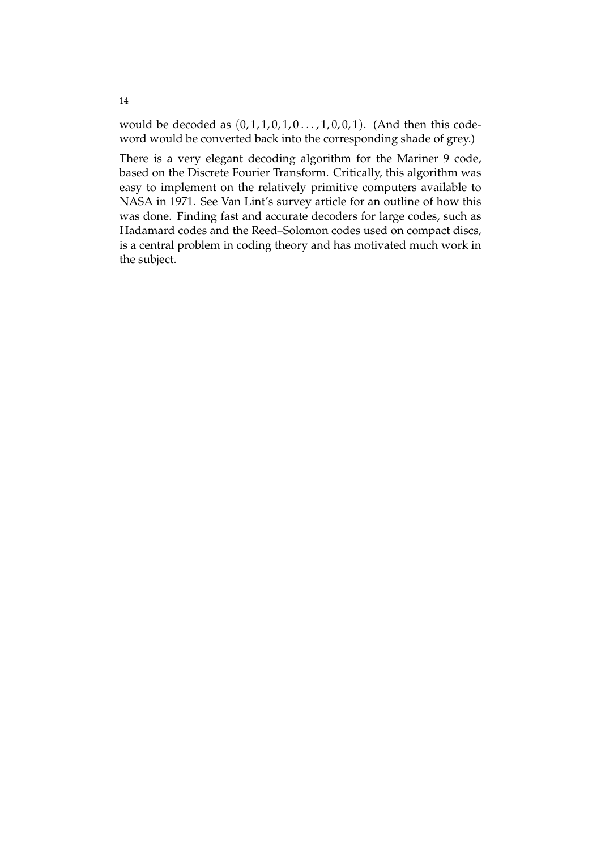would be decoded as  $(0, 1, 1, 0, 1, 0..., 1, 0, 0, 1)$ . (And then this codeword would be converted back into the corresponding shade of grey.)

There is a very elegant decoding algorithm for the Mariner 9 code, based on the Discrete Fourier Transform. Critically, this algorithm was easy to implement on the relatively primitive computers available to NASA in 1971. See Van Lint's survey article for an outline of how this was done. Finding fast and accurate decoders for large codes, such as Hadamard codes and the Reed–Solomon codes used on compact discs, is a central problem in coding theory and has motivated much work in the subject.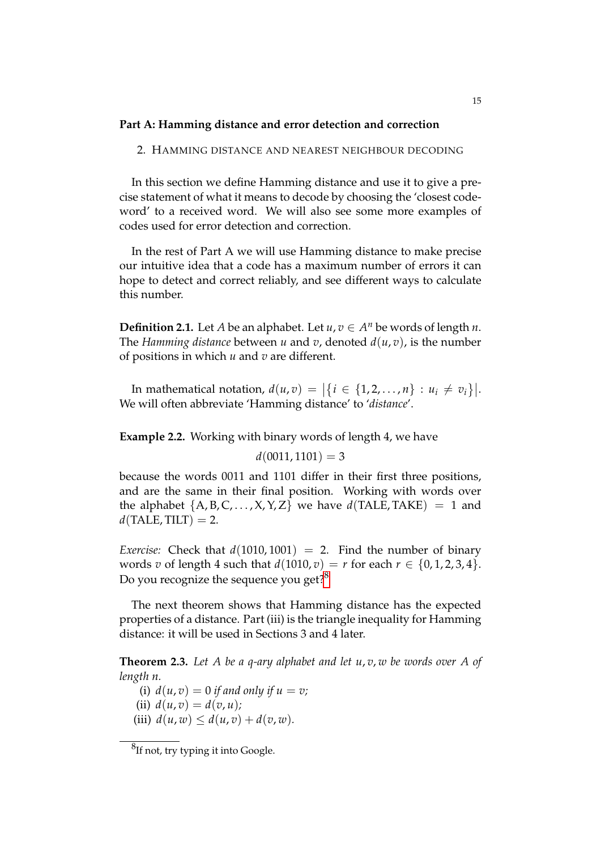#### **Part A: Hamming distance and error detection and correction**

2. HAMMING DISTANCE AND NEAREST NEIGHBOUR DECODING

In this section we define Hamming distance and use it to give a precise statement of what it means to decode by choosing the 'closest codeword' to a received word. We will also see some more examples of codes used for error detection and correction.

In the rest of Part A we will use Hamming distance to make precise our intuitive idea that a code has a maximum number of errors it can hope to detect and correct reliably, and see different ways to calculate this number.

**Definition 2.1.** Let *A* be an alphabet. Let  $u, v \in A^n$  be words of length *n*. The *Hamming distance* between *u* and *v*, denoted  $d(u, v)$ , is the number of positions in which *u* and *v* are different.

In mathematical notation,  $d(u, v) = |\{i \in \{1, 2, ..., n\} : u_i \neq v_i\}|$ . We will often abbreviate 'Hamming distance' to '*distance*'.

**Example 2.2.** Working with binary words of length 4, we have

 $d(0011, 1101) = 3$ 

because the words 0011 and 1101 differ in their first three positions, and are the same in their final position. Working with words over the alphabet  $\{A, B, C, \ldots, X, Y, Z\}$  we have  $d(TALE, TAKE) = 1$  and  $d(TALE, TILT) = 2.$ 

*Exercise:* Check that  $d(1010, 1001) = 2$ . Find the number of binary words *v* of length 4 such that  $d(1010, v) = r$  for each  $r \in \{0, 1, 2, 3, 4\}.$ Do you recognize the sequence you get? $8^8$  $8^8$ 

The next theorem shows that Hamming distance has the expected properties of a distance. Part (iii) is the triangle inequality for Hamming distance: it will be used in Sections 3 and 4 later.

**Theorem 2.3.** *Let A be a q-ary alphabet and let u*, *v*, *w be words over A of length n.*

(i)  $d(u, v) = 0$  *if and only if*  $u = v$ ;

- (ii)  $d(u, v) = d(v, u)$ ;
- (iii)  $d(u, w) \leq d(u, v) + d(v, w)$ .

<span id="page-14-0"></span> ${}^{8}$ If not, try typing it into Google.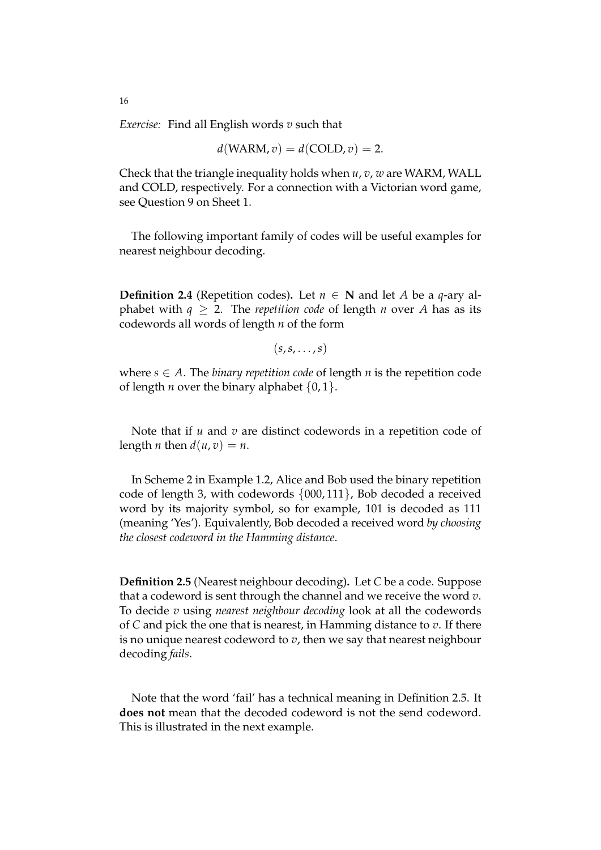*Exercise:* Find all English words *v* such that

$$
d(WARM, v) = d(COLD, v) = 2.
$$

Check that the triangle inequality holds when *u*, *v*, *w* are WARM, WALL and COLD, respectively. For a connection with a Victorian word game, see Question 9 on Sheet 1.

The following important family of codes will be useful examples for nearest neighbour decoding.

**Definition 2.4** (Repetition codes). Let  $n \in \mathbb{N}$  and let *A* be a *q*-ary alphabet with  $q \geq 2$ . The *repetition code* of length *n* over *A* has as its codewords all words of length *n* of the form

```
(s, s, \ldots, s)
```
where  $s \in A$ . The *binary repetition code* of length *n* is the repetition code of length *n* over the binary alphabet  $\{0, 1\}$ .

Note that if *u* and *v* are distinct codewords in a repetition code of length *n* then  $d(u, v) = n$ .

In Scheme 2 in Example 1.2, Alice and Bob used the binary repetition code of length 3, with codewords {000, 111}, Bob decoded a received word by its majority symbol, so for example, 101 is decoded as 111 (meaning 'Yes'). Equivalently, Bob decoded a received word *by choosing the closest codeword in the Hamming distance*.

**Definition 2.5** (Nearest neighbour decoding)**.** Let *C* be a code. Suppose that a codeword is sent through the channel and we receive the word *v*. To decide *v* using *nearest neighbour decoding* look at all the codewords of *C* and pick the one that is nearest, in Hamming distance to *v*. If there is no unique nearest codeword to *v*, then we say that nearest neighbour decoding *fails*.

Note that the word 'fail' has a technical meaning in Definition 2.5. It **does not** mean that the decoded codeword is not the send codeword. This is illustrated in the next example.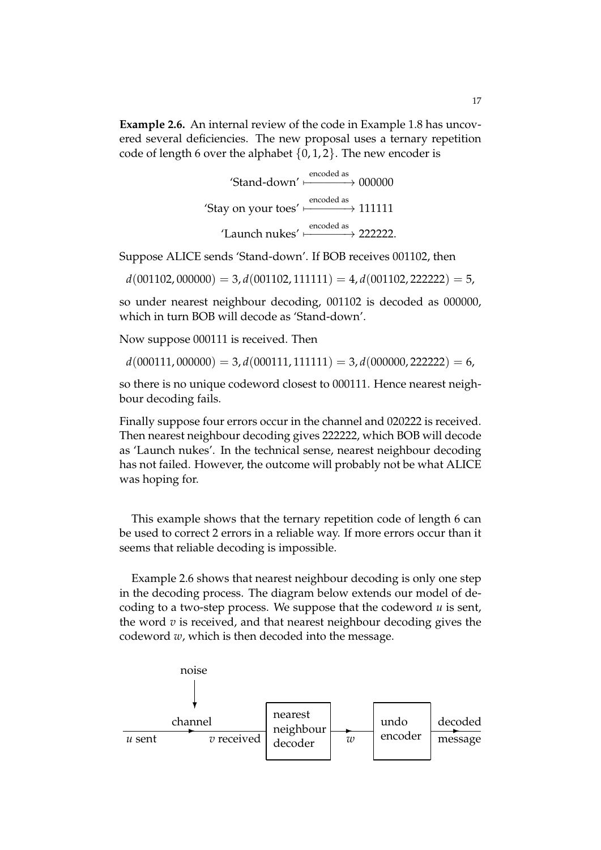**Example 2.6.** An internal review of the code in Example 1.8 has uncovered several deficiencies. The new proposal uses a ternary repetition code of length 6 over the alphabet  $\{0, 1, 2\}$ . The new encoder is

> $\rightarrow$  Stand-down'  $\longmapsto$  0000000  $\text{``Stay on your toes'} \longmapsto \text{``111111''}$  $\cdot$ Launch nukes'  $\longmapsto$  2222222.

Suppose ALICE sends 'Stand-down'. If BOB receives 001102, then

 $d(001102, 000000) = 3, d(001102, 111111) = 4, d(001102, 222222) = 5,$ 

so under nearest neighbour decoding, 001102 is decoded as 000000, which in turn BOB will decode as 'Stand-down'.

Now suppose 000111 is received. Then

 $d(000111, 000000) = 3, d(000111, 111111) = 3, d(000000, 222222) = 6,$ 

so there is no unique codeword closest to 000111. Hence nearest neighbour decoding fails.

Finally suppose four errors occur in the channel and 020222 is received. Then nearest neighbour decoding gives 222222, which BOB will decode as 'Launch nukes'. In the technical sense, nearest neighbour decoding has not failed. However, the outcome will probably not be what ALICE was hoping for.

This example shows that the ternary repetition code of length 6 can be used to correct 2 errors in a reliable way. If more errors occur than it seems that reliable decoding is impossible.

Example 2.6 shows that nearest neighbour decoding is only one step in the decoding process. The diagram below extends our model of decoding to a two-step process. We suppose that the codeword *u* is sent, the word *v* is received, and that nearest neighbour decoding gives the codeword *w*, which is then decoded into the message.

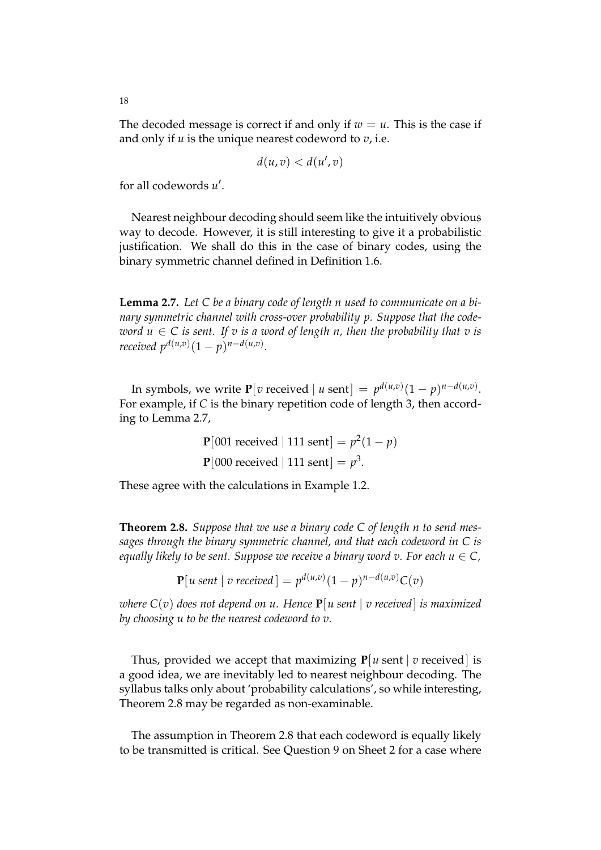The decoded message is correct if and only if  $w = u$ . This is the case if and only if *u* is the unique nearest codeword to *v*, i.e.

$$
d(u,v) < d(u',v)
$$

for all codewords  $u'$ .

Nearest neighbour decoding should seem like the intuitively obvious way to decode. However, it is still interesting to give it a probabilistic justification. We shall do this in the case of binary codes, using the binary symmetric channel defined in Definition 1.6.

**Lemma 2.7.** *Let C be a binary code of length n used to communicate on a binary symmetric channel with cross-over probability p. Suppose that the codeword*  $u \in C$  *is sent.* If v *is a word of length n, then the probability that v is received*  $p^{d(u,v)}(1-p)^{n-d(u,v)}$ .

In symbols, we write  $P[v \text{ received } | u \text{ sent}] = p^{d(u,v)}(1-p)^{n-d(u,v)}.$ For example, if *C* is the binary repetition code of length 3, then according to Lemma 2.7,

> **P**[001 received | 111 sent] =  $p^2(1-p)$ **P**[000 received | 111 sent] =  $p^3$ .

These agree with the calculations in Example 1.2.

**Theorem 2.8.** *Suppose that we use a binary code C of length n to send messages through the binary symmetric channel, and that each codeword in C is equally likely to be sent. Suppose we receive a binary word v. For each*  $u \in C$ *,* 

**P**[*u sent* | *v received* ] =  $p^{d(u,v)}(1-p)^{n-d(u,v)}C(v)$ 

*where C*(*v*) *does not depend on u. Hence* **P**[*u sent* | *v received*] *is maximized by choosing u to be the nearest codeword to v.*

Thus, provided we accept that maximizing  $P[u \text{ sent } v \text{ received}]$  is a good idea, we are inevitably led to nearest neighbour decoding. The syllabus talks only about 'probability calculations', so while interesting, Theorem 2.8 may be regarded as non-examinable.

The assumption in Theorem 2.8 that each codeword is equally likely to be transmitted is critical. See Question 9 on Sheet 2 for a case where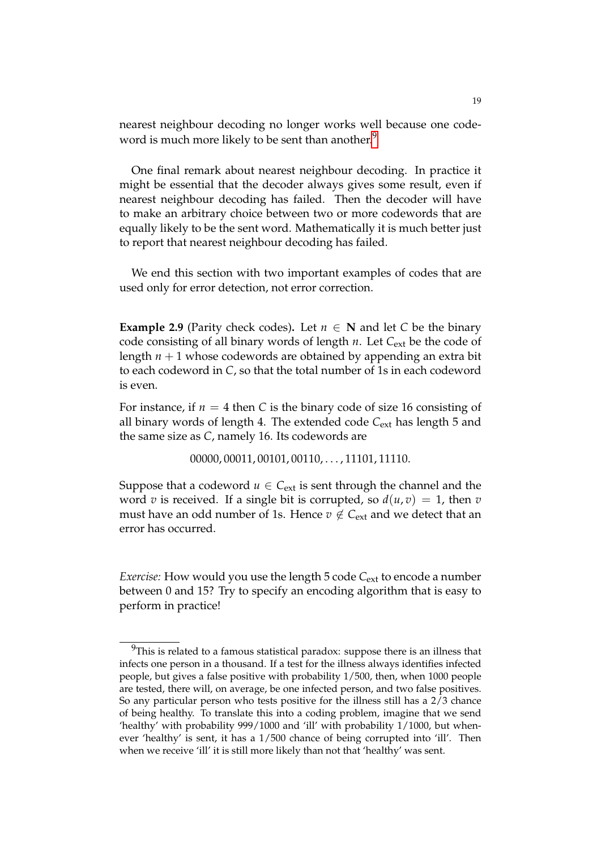nearest neighbour decoding no longer works well because one code-word is much more likely to be sent than another.<sup>[9](#page-18-0)</sup>

One final remark about nearest neighbour decoding. In practice it might be essential that the decoder always gives some result, even if nearest neighbour decoding has failed. Then the decoder will have to make an arbitrary choice between two or more codewords that are equally likely to be the sent word. Mathematically it is much better just to report that nearest neighbour decoding has failed.

We end this section with two important examples of codes that are used only for error detection, not error correction.

**Example 2.9** (Parity check codes). Let  $n \in \mathbb{N}$  and let *C* be the binary code consisting of all binary words of length *n*. Let *C*ext be the code of length  $n + 1$  whose codewords are obtained by appending an extra bit to each codeword in *C*, so that the total number of 1s in each codeword is even.

For instance, if  $n = 4$  then *C* is the binary code of size 16 consisting of all binary words of length 4. The extended code *C*ext has length 5 and the same size as *C*, namely 16. Its codewords are

00000, 00011, 00101, 00110, . . . , 11101, 11110.

Suppose that a codeword  $u \in C_{ext}$  is sent through the channel and the word *v* is received. If a single bit is corrupted, so  $d(u, v) = 1$ , then *v* must have an odd number of 1s. Hence  $v \notin C_{ext}$  and we detect that an error has occurred.

*Exercise:* How would you use the length 5 code  $C_{ext}$  to encode a number between 0 and 15? Try to specify an encoding algorithm that is easy to perform in practice!

<span id="page-18-0"></span> $^{9}$ This is related to a famous statistical paradox: suppose there is an illness that infects one person in a thousand. If a test for the illness always identifies infected people, but gives a false positive with probability 1/500, then, when 1000 people are tested, there will, on average, be one infected person, and two false positives. So any particular person who tests positive for the illness still has a 2/3 chance of being healthy. To translate this into a coding problem, imagine that we send 'healthy' with probability 999/1000 and 'ill' with probability 1/1000, but whenever 'healthy' is sent, it has a 1/500 chance of being corrupted into 'ill'. Then when we receive 'ill' it is still more likely than not that 'healthy' was sent.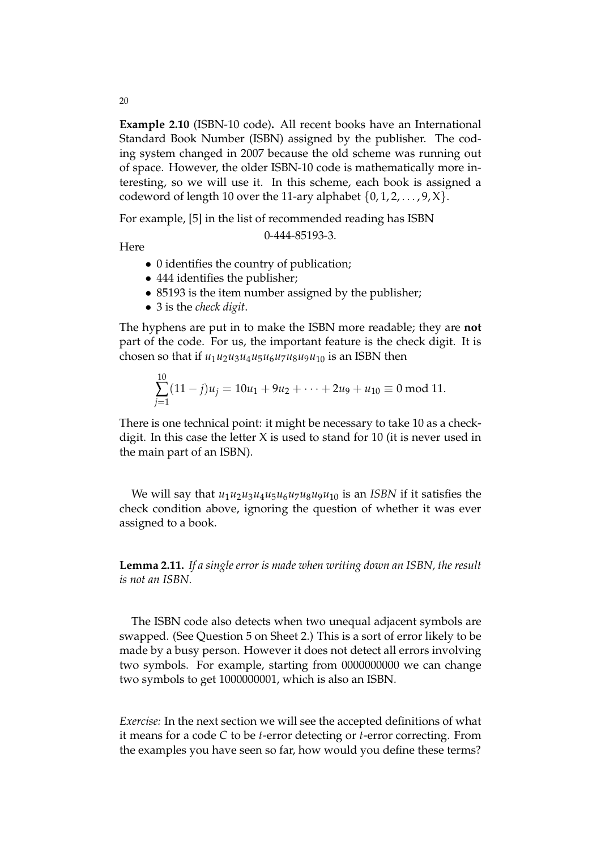**Example 2.10** (ISBN-10 code)**.** All recent books have an International Standard Book Number (ISBN) assigned by the publisher. The coding system changed in 2007 because the old scheme was running out of space. However, the older ISBN-10 code is mathematically more interesting, so we will use it. In this scheme, each book is assigned a codeword of length 10 over the 11-ary alphabet  $\{0, 1, 2, \ldots, 9, X\}$ .

For example, [5] in the list of recommended reading has ISBN

0-444-85193-3.

Here

- 0 identifies the country of publication;
- 444 identifies the publisher;
- 85193 is the item number assigned by the publisher;
- 3 is the *check digit*.

The hyphens are put in to make the ISBN more readable; they are **not** part of the code. For us, the important feature is the check digit. It is chosen so that if  $u_1u_2u_3u_4u_5u_6u_7u_8u_9u_{10}$  is an ISBN then

$$
\sum_{j=1}^{10} (11 - j)u_j = 10u_1 + 9u_2 + \dots + 2u_9 + u_{10} \equiv 0 \mod 11.
$$

There is one technical point: it might be necessary to take 10 as a checkdigit. In this case the letter X is used to stand for 10 (it is never used in the main part of an ISBN).

We will say that  $u_1u_2u_3u_4u_5u_6u_7u_8u_9u_{10}$  is an *ISBN* if it satisfies the check condition above, ignoring the question of whether it was ever assigned to a book.

**Lemma 2.11.** *If a single error is made when writing down an ISBN, the result is not an ISBN.*

The ISBN code also detects when two unequal adjacent symbols are swapped. (See Question 5 on Sheet 2.) This is a sort of error likely to be made by a busy person. However it does not detect all errors involving two symbols. For example, starting from 0000000000 we can change two symbols to get 1000000001, which is also an ISBN.

*Exercise:* In the next section we will see the accepted definitions of what it means for a code *C* to be *t*-error detecting or *t*-error correcting. From the examples you have seen so far, how would you define these terms?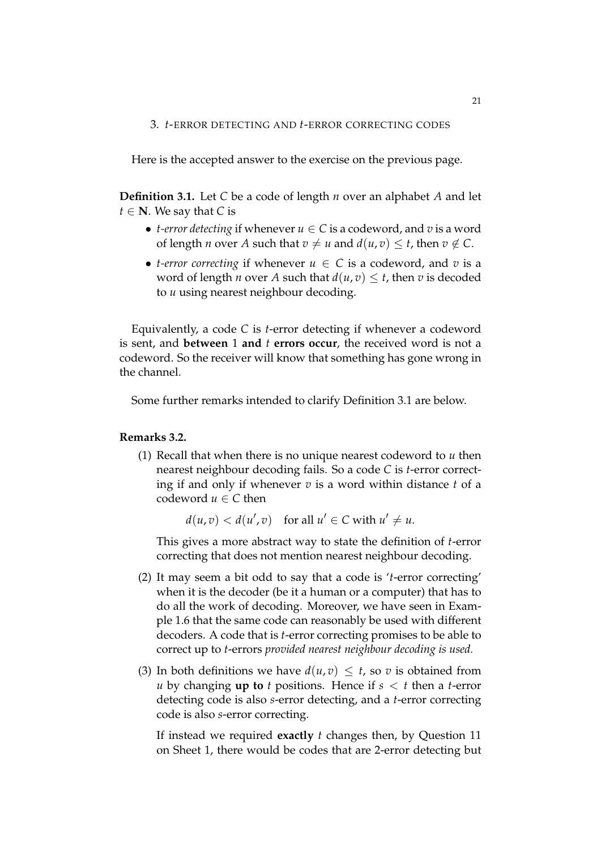Here is the accepted answer to the exercise on the previous page.

**Definition 3.1.** Let *C* be a code of length *n* over an alphabet *A* and let  $t \in \mathbb{N}$ . We say that *C* is

- *t-error detecting* if whenever  $u \in C$  is a codeword, and  $v$  is a word of length *n* over *A* such that  $v \neq u$  and  $d(u, v) \leq t$ , then  $v \notin C$ .
- *t-error correcting* if whenever  $u \in C$  is a codeword, and  $v$  is a word of length *n* over *A* such that  $d(u, v) \le t$ , then *v* is decoded to *u* using nearest neighbour decoding.

Equivalently, a code *C* is *t*-error detecting if whenever a codeword is sent, and **between** 1 **and** *t* **errors occur**, the received word is not a codeword. So the receiver will know that something has gone wrong in the channel.

Some further remarks intended to clarify Definition 3.1 are below.

# **Remarks 3.2.**

(1) Recall that when there is no unique nearest codeword to *u* then nearest neighbour decoding fails. So a code *C* is *t*-error correcting if and only if whenever *v* is a word within distance *t* of a codeword  $u \in C$  then

 $d(u, v) < d(u', v)$  for all  $u' \in C$  with  $u' \neq u$ .

This gives a more abstract way to state the definition of *t*-error correcting that does not mention nearest neighbour decoding.

- (2) It may seem a bit odd to say that a code is '*t*-error correcting' when it is the decoder (be it a human or a computer) that has to do all the work of decoding. Moreover, we have seen in Example 1.6 that the same code can reasonably be used with different decoders. A code that is *t*-error correcting promises to be able to correct up to *t*-errors *provided nearest neighbour decoding is used.*
- (3) In both definitions we have  $d(u, v) \le t$ , so *v* is obtained from *u* by changing **up to** *t* positions. Hence if  $s < t$  then a *t*-error detecting code is also *s*-error detecting, and a *t*-error correcting code is also *s*-error correcting.

If instead we required **exactly** *t* changes then, by Question 11 on Sheet 1, there would be codes that are 2-error detecting but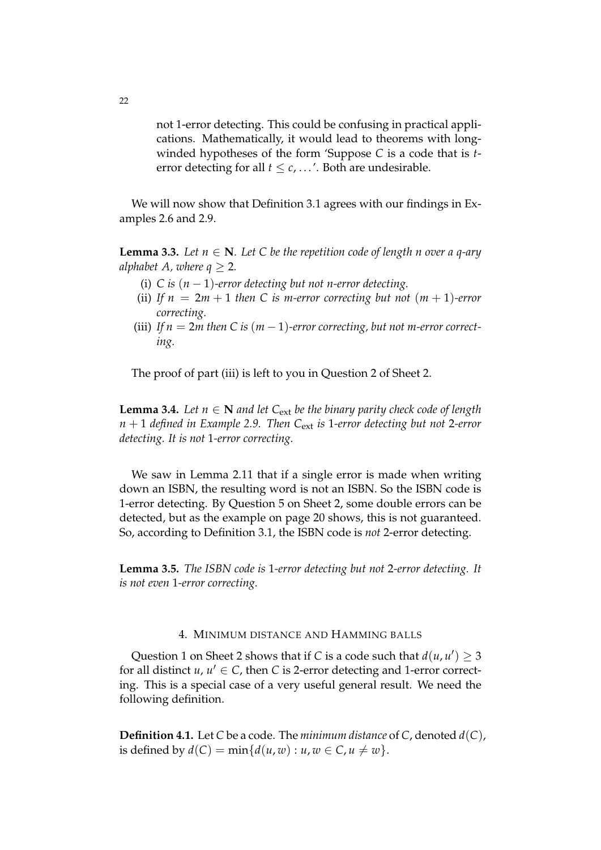not 1-error detecting. This could be confusing in practical applications. Mathematically, it would lead to theorems with longwinded hypotheses of the form 'Suppose *C* is a code that is *t*error detecting for all  $t \leq c$ , ...'. Both are undesirable.

We will now show that Definition 3.1 agrees with our findings in Examples 2.6 and 2.9.

**Lemma 3.3.** *Let*  $n \in \mathbb{N}$ *. Let* C be the repetition code of length n over a q-ary *alphabet A, where*  $q \geq 2$ *.* 

- (i) *C is* (*n* − 1)*-error detecting but not n-error detecting.*
- (ii) If  $n = 2m + 1$  then C is m-error correcting but not  $(m + 1)$ -error *correcting.*
- (iii) If  $n = 2m$  then C is  $(m 1)$ -error correcting, but not m-error correct*ing.*

The proof of part (iii) is left to you in Question 2 of Sheet 2.

**Lemma 3.4.** *Let*  $n \in \mathbb{N}$  *and let*  $C_{ext}$  *be the binary parity check code of length n* + 1 *defined in Example 2.9. Then C*ext *is* 1*-error detecting but not* 2*-error detecting. It is not* 1*-error correcting.*

We saw in Lemma 2.11 that if a single error is made when writing down an ISBN, the resulting word is not an ISBN. So the ISBN code is 1-error detecting. By Question 5 on Sheet 2, some double errors can be detected, but as the example on page 20 shows, this is not guaranteed. So, according to Definition 3.1, the ISBN code is *not* 2-error detecting.

**Lemma 3.5.** *The ISBN code is* 1*-error detecting but not* 2*-error detecting. It is not even* 1*-error correcting.*

# 4. MINIMUM DISTANCE AND HAMMING BALLS

Question 1 on Sheet 2 shows that if *C* is a code such that  $d(u, u') \geq 3$ for all distinct *u*,  $u' \in C$ , then *C* is 2-error detecting and 1-error correcting. This is a special case of a very useful general result. We need the following definition.

**Definition 4.1.** Let *C* be a code. The *minimum distance* of *C*, denoted *d*(*C*), is defined by  $d(C) = \min\{d(u, w) : u, w \in C, u \neq w\}.$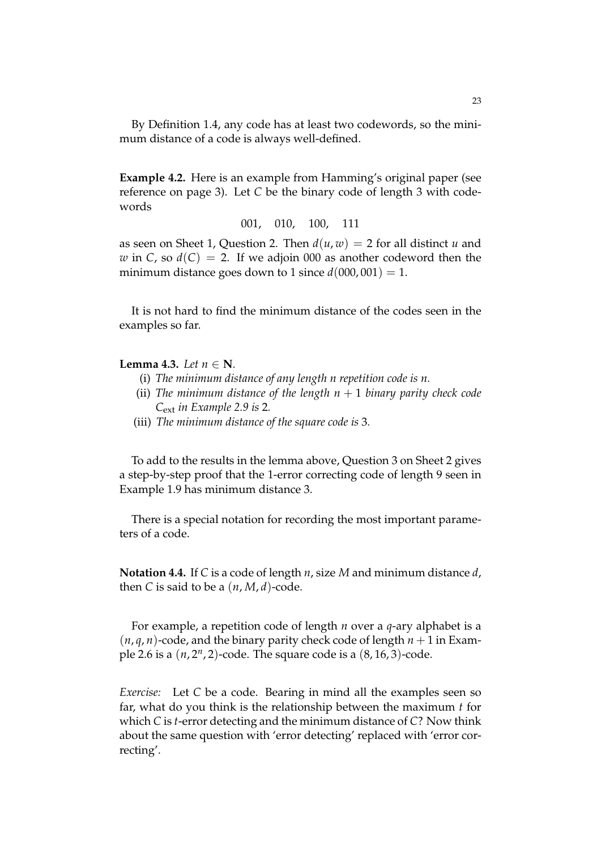By Definition 1.4, any code has at least two codewords, so the minimum distance of a code is always well-defined.

**Example 4.2.** Here is an example from Hamming's original paper (see reference on page 3). Let *C* be the binary code of length 3 with codewords

001, 010, 100, 111

as seen on Sheet 1, Question 2. Then  $d(u, w) = 2$  for all distinct *u* and *w* in *C*, so  $d(C) = 2$ . If we adjoin 000 as another codeword then the minimum distance goes down to 1 since  $d(000, 001) = 1$ .

It is not hard to find the minimum distance of the codes seen in the examples so far.

### **Lemma 4.3.** *Let*  $n \in \mathbb{N}$ *.*

- (i) *The minimum distance of any length n repetition code is n.*
- (ii) The minimum distance of the length  $n + 1$  binary parity check code *C*ext *in Example 2.9 is* 2*.*
- (iii) *The minimum distance of the square code is* 3*.*

To add to the results in the lemma above, Question 3 on Sheet 2 gives a step-by-step proof that the 1-error correcting code of length 9 seen in Example 1.9 has minimum distance 3.

There is a special notation for recording the most important parameters of a code.

**Notation 4.4.** If *C* is a code of length *n*, size *M* and minimum distance *d*, then *C* is said to be a  $(n, M, d)$ -code.

For example, a repetition code of length *n* over a *q*-ary alphabet is a  $(n, q, n)$ -code, and the binary parity check code of length  $n + 1$  in Example 2.6 is a  $(n, 2<sup>n</sup>, 2)$ -code. The square code is a  $(8, 16, 3)$ -code.

*Exercise:* Let *C* be a code. Bearing in mind all the examples seen so far, what do you think is the relationship between the maximum *t* for which *C* is *t*-error detecting and the minimum distance of *C*? Now think about the same question with 'error detecting' replaced with 'error correcting'.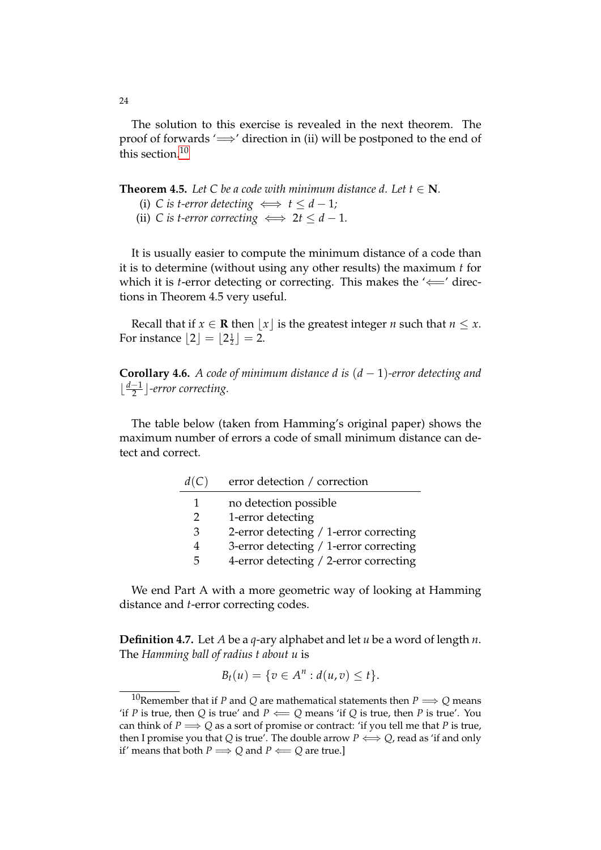The solution to this exercise is revealed in the next theorem. The proof of forwards ' $\Longrightarrow$ ' direction in (ii) will be postponed to the end of this section.<sup>[10](#page-23-0)</sup>

**Theorem 4.5.** Let C be a code with minimum distance d. Let  $t \in N$ .

- (i) *C* is *t*-error detecting  $\iff$   $t \leq d-1$ ;
- (ii) *C* is *t*-error correcting  $\iff$  2*t*  $\lt d 1$ *.*

It is usually easier to compute the minimum distance of a code than it is to determine (without using any other results) the maximum *t* for which it is *t*-error detecting or correcting. This makes the  $\prime \leftarrow \prime$  directions in Theorem 4.5 very useful.

Recall that if *x*  $\in$  **R** then  $\lfloor x \rfloor$  is the greatest integer *n* such that  $n \leq x$ . For instance  $\lfloor 2 \rfloor = \lfloor 2\frac{1}{2} \rfloor = 2$ .

**Corollary 4.6.** *A code of minimum distance d is* (*d* − 1)*-error detecting and <u>d</u>−1</del><i>-error correcting.* 

The table below (taken from Hamming's original paper) shows the maximum number of errors a code of small minimum distance can detect and correct.

| d(C) | error detection / correction           |
|------|----------------------------------------|
| 1    | no detection possible                  |
| 2    | 1-error detecting                      |
| 3    | 2-error detecting / 1-error correcting |
| 4    | 3-error detecting / 1-error correcting |
| 5.   | 4-error detecting / 2-error correcting |
|      |                                        |

We end Part A with a more geometric way of looking at Hamming distance and *t*-error correcting codes.

**Definition 4.7.** Let *A* be a *q*-ary alphabet and let *u* be a word of length *n*. The *Hamming ball of radius t about u* is

$$
B_t(u) = \{v \in A^n : d(u,v) \leq t\}.
$$

<span id="page-23-0"></span> $^{10}\text{Remember that if }P\text{ and }Q\text{ are mathematical statements then }P\Longrightarrow Q\text{ means }$ 'if *P* is true, then *Q* is true' and  $P \leftarrow Q$  means 'if *Q* is true, then *P* is true'. You can think of  $P \Longrightarrow Q$  as a sort of promise or contract: 'if you tell me that *P* is true, then I promise you that *Q* is true'. The double arrow  $P \iff Q$ , read as 'if and only if' means that both  $P \Longrightarrow Q$  and  $P \Longleftarrow Q$  are true.]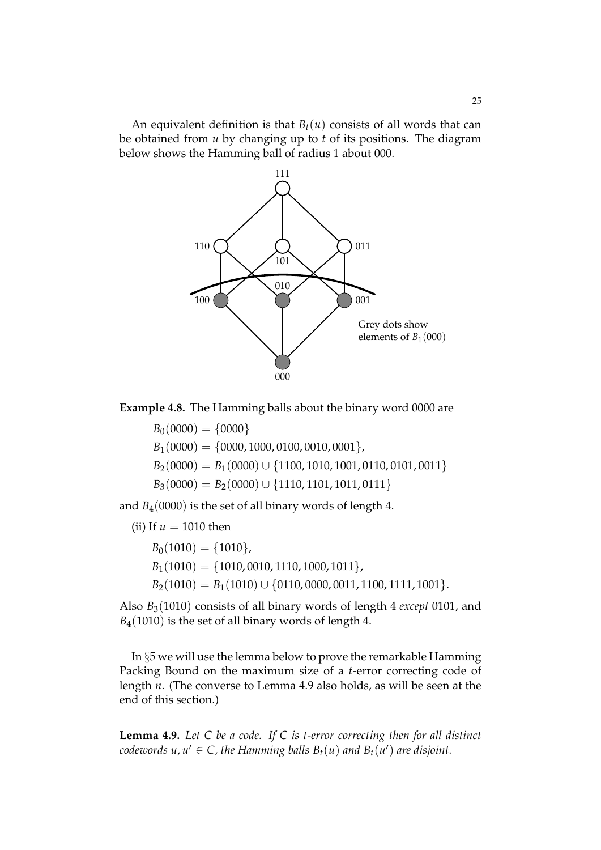An equivalent definition is that  $B_t(u)$  consists of all words that can be obtained from *u* by changing up to *t* of its positions. The diagram below shows the Hamming ball of radius 1 about 000.



**Example 4.8.** The Hamming balls about the binary word 0000 are

 $B_0(0000) = \{0000\}$  $B_1(0000) = \{0000, 1000, 0100, 0010, 0001\},$  $B_2(0000) = B_1(0000) \cup \{1100, 1010, 1001, 0110, 0101, 0011\}$  $B_3(0000) = B_2(0000) \cup \{1110, 1101, 1011, 0111\}$ 

and  $B_4(0000)$  is the set of all binary words of length 4.

(ii) If  $u = 1010$  then

$$
B_0(1010) = \{1010\},\,
$$

 $B_1(1010) = \{1010, 0010, 1110, 1000, 1011\},$ 

 $B_2(1010) = B_1(1010) \cup \{0110, 0000, 0011, 1100, 1111, 1001\}.$ 

Also *B*3(1010) consists of all binary words of length 4 *except* 0101, and  $B_4(1010)$  is the set of all binary words of length 4.

In §5 we will use the lemma below to prove the remarkable Hamming Packing Bound on the maximum size of a *t*-error correcting code of length *n*. (The converse to Lemma 4.9 also holds, as will be seen at the end of this section.)

**Lemma 4.9.** *Let C be a code. If C is t-error correcting then for all distinct*  $\mathit{codewords}\ u, u' \in \mathsf{C}$ , the Hamming balls  $B_t(u)$  and  $B_t(u')$  are disjoint.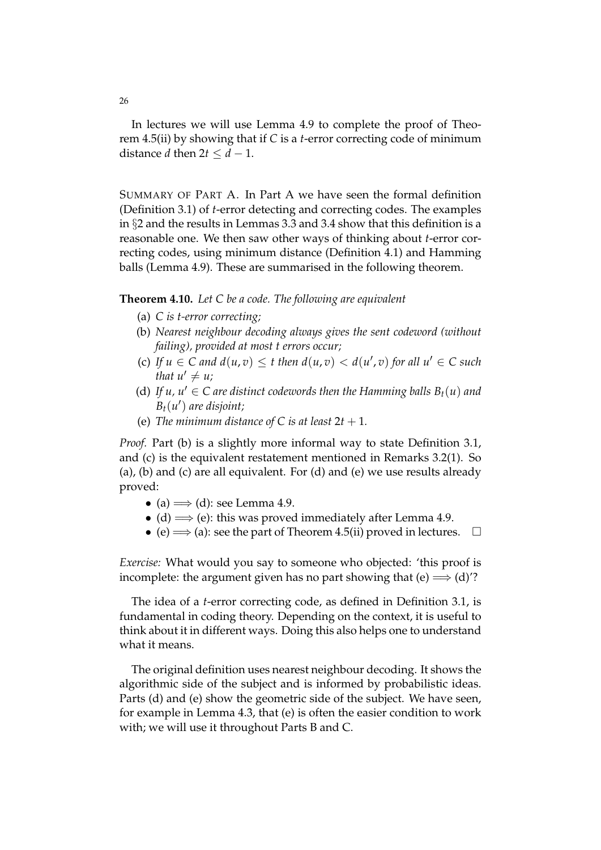In lectures we will use Lemma 4.9 to complete the proof of Theorem 4.5(ii) by showing that if *C* is a *t*-error correcting code of minimum distance *d* then  $2t \leq d - 1$ .

SUMMARY OF PART A. In Part A we have seen the formal definition (Definition 3.1) of *t*-error detecting and correcting codes. The examples in §2 and the results in Lemmas 3.3 and 3.4 show that this definition is a reasonable one. We then saw other ways of thinking about *t*-error correcting codes, using minimum distance (Definition 4.1) and Hamming balls (Lemma 4.9). These are summarised in the following theorem.

### **Theorem 4.10.** *Let C be a code. The following are equivalent*

- (a) *C is t-error correcting;*
- (b) *Nearest neighbour decoding always gives the sent codeword (without failing), provided at most t errors occur;*
- (c) If  $u \in C$  and  $d(u, v) \leq t$  then  $d(u, v) < d(u', v)$  for all  $u' \in C$  such *that*  $u' \neq u$ ;
- (d) If  $u, u' \in C$  are distinct codewords then the Hamming balls  $B_t(u)$  and *Bt*(*u* 0 ) *are disjoint;*
- (e) The minimum distance of C is at least  $2t + 1$ .

*Proof.* Part (b) is a slightly more informal way to state Definition 3.1, and (c) is the equivalent restatement mentioned in Remarks 3.2(1). So (a), (b) and (c) are all equivalent. For (d) and (e) we use results already proved:

- (a)  $\implies$  (d): see Lemma 4.9.
- (d)  $\implies$  (e): this was proved immediately after Lemma 4.9.
- (e)  $\implies$  (a): see the part of Theorem 4.5(ii) proved in lectures.  $\Box$

*Exercise:* What would you say to someone who objected: 'this proof is incomplete: the argument given has no part showing that (e)  $\Longrightarrow$  (d)'?

The idea of a *t*-error correcting code, as defined in Definition 3.1, is fundamental in coding theory. Depending on the context, it is useful to think about it in different ways. Doing this also helps one to understand what it means.

The original definition uses nearest neighbour decoding. It shows the algorithmic side of the subject and is informed by probabilistic ideas. Parts (d) and (e) show the geometric side of the subject. We have seen, for example in Lemma 4.3, that (e) is often the easier condition to work with; we will use it throughout Parts B and C.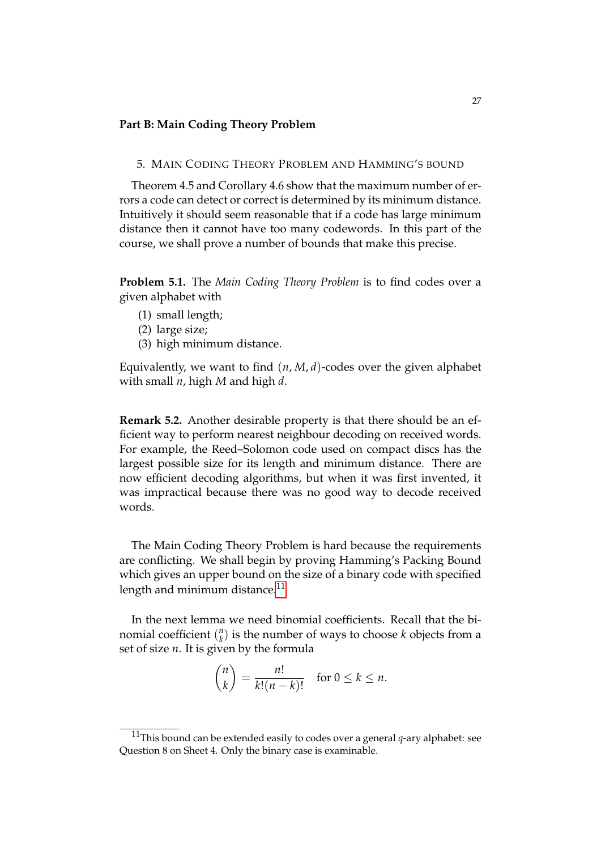### **Part B: Main Coding Theory Problem**

5. MAIN CODING THEORY PROBLEM AND HAMMING'S BOUND

Theorem 4.5 and Corollary 4.6 show that the maximum number of errors a code can detect or correct is determined by its minimum distance. Intuitively it should seem reasonable that if a code has large minimum distance then it cannot have too many codewords. In this part of the course, we shall prove a number of bounds that make this precise.

**Problem 5.1.** The *Main Coding Theory Problem* is to find codes over a given alphabet with

- (1) small length;
- (2) large size;
- (3) high minimum distance.

Equivalently, we want to find  $(n, M, d)$ -codes over the given alphabet with small *n*, high *M* and high *d*.

**Remark 5.2.** Another desirable property is that there should be an efficient way to perform nearest neighbour decoding on received words. For example, the Reed–Solomon code used on compact discs has the largest possible size for its length and minimum distance. There are now efficient decoding algorithms, but when it was first invented, it was impractical because there was no good way to decode received words.

The Main Coding Theory Problem is hard because the requirements are conflicting. We shall begin by proving Hamming's Packing Bound which gives an upper bound on the size of a binary code with specified length and minimum distance. $^{11}$  $^{11}$  $^{11}$ 

In the next lemma we need binomial coefficients. Recall that the binomial coefficient ( *n*  $\binom{n}{k}$  is the number of ways to choose  $k$  objects from a set of size *n*. It is given by the formula

$$
\binom{n}{k} = \frac{n!}{k!(n-k)!} \quad \text{for } 0 \le k \le n.
$$

<span id="page-26-0"></span><sup>11</sup>This bound can be extended easily to codes over a general *q*-ary alphabet: see Question 8 on Sheet 4. Only the binary case is examinable.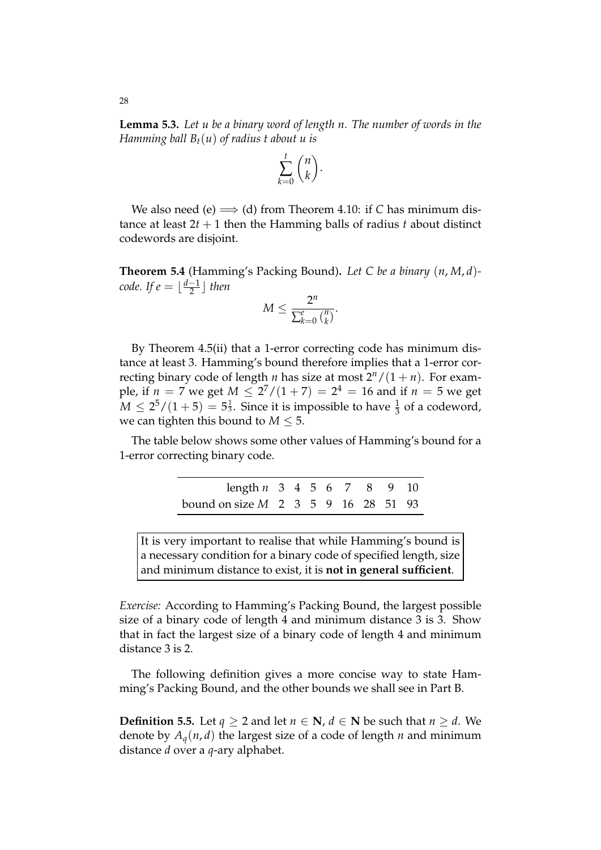**Lemma 5.3.** *Let u be a binary word of length n. The number of words in the Hamming ball Bt*(*u*) *of radius t about u is*

$$
\sum_{k=0}^t \binom{n}{k}.
$$

We also need (e)  $\implies$  (d) from Theorem 4.10: if *C* has minimum distance at least  $2t + 1$  then the Hamming balls of radius  $t$  about distinct codewords are disjoint.

**Theorem 5.4** (Hamming's Packing Bound)**.** *Let C be a binary* (*n*, *M*, *d*) *code.* If  $e = \lfloor \frac{d-1}{2} \rfloor$  then

$$
M \leq \frac{2^n}{\sum_{k=0}^e {n \choose k}}.
$$

By Theorem 4.5(ii) that a 1-error correcting code has minimum distance at least 3. Hamming's bound therefore implies that a 1-error correcting binary code of length *n* has size at most  $2^n/(1 + n)$ . For example, if  $n = 7$  we get  $M \leq 2^7/(1+7) = 2^4 = 16$  and if  $n = 5$  we get  $M \leq 2^5/(1+5) = 5^{\frac{1}{3}}$ . Since it is impossible to have  $\frac{1}{3}$  of a codeword, we can tighten this bound to  $M \leq 5$ .

The table below shows some other values of Hamming's bound for a 1-error correcting binary code.

| length $n \times 3 \times 4 \times 5 \times 6 \times 7 \times 8 \times 9 \times 10$ |  |  |  |  |
|-------------------------------------------------------------------------------------|--|--|--|--|
| bound on size M 2 3 5 9 16 28 51 93                                                 |  |  |  |  |

It is very important to realise that while Hamming's bound is a necessary condition for a binary code of specified length, size and minimum distance to exist, it is **not in general sufficient**.

*Exercise:* According to Hamming's Packing Bound, the largest possible size of a binary code of length 4 and minimum distance 3 is 3. Show that in fact the largest size of a binary code of length 4 and minimum distance 3 is 2.

The following definition gives a more concise way to state Hamming's Packing Bound, and the other bounds we shall see in Part B.

**Definition 5.5.** Let *q*  $\geq$  2 and let *n*  $\in$  **N**, *d*  $\in$  **N** be such that *n*  $\geq$  *d*. We denote by  $A_q(n,d)$  the largest size of a code of length *n* and minimum distance *d* over a *q*-ary alphabet.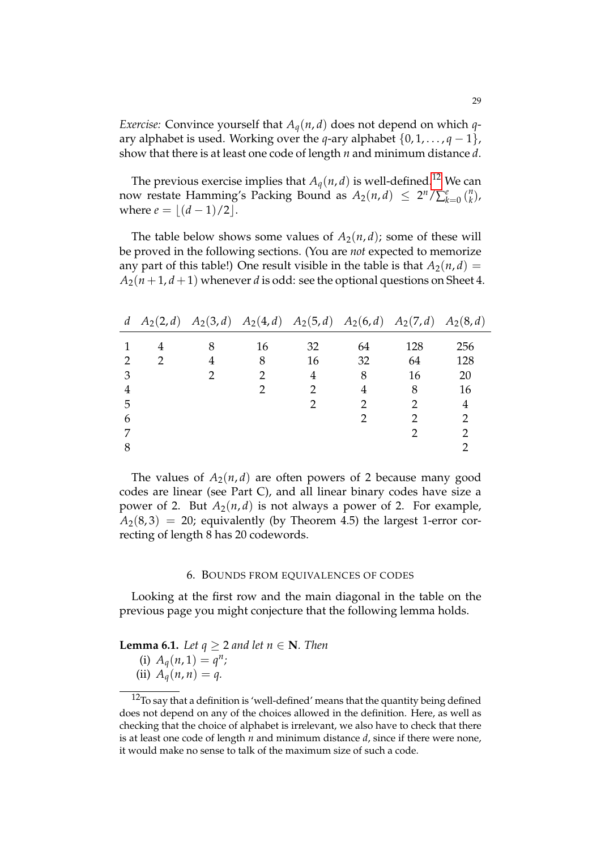*Exercise:* Convince yourself that  $A_q(n,d)$  does not depend on which  $q$ ary alphabet is used. Working over the *q*-ary alphabet  $\{0, 1, \ldots, q - 1\}$ , show that there is at least one code of length *n* and minimum distance *d*.

The previous exercise implies that  $A_q(n, d)$  is well-defined.<sup>[12](#page-28-0)</sup> We can now restate Hamming's Packing Bound as  $A_2(n,d) \leq 2^n / \sum_{k=1}^n$ *k*=0 ( *n*  $\binom{n}{k}$ , where  $e = |(d - 1)/2|$ .

The table below shows some values of  $A_2(n,d)$ ; some of these will be proved in the following sections. (You are *not* expected to memorize any part of this table!) One result visible in the table is that  $A_2(n,d)$  $A_2(n+1, d+1)$  whenever *d* is odd: see the optional questions on Sheet 4.

|   |   | d $A_2(2,d)$ $A_2(3,d)$ $A_2(4,d)$ $A_2(5,d)$ $A_2(6,d)$ $A_2(7,d)$ $A_2(8,d)$ |               |    |    |     |               |
|---|---|--------------------------------------------------------------------------------|---------------|----|----|-----|---------------|
|   | 4 | 8                                                                              | 16            | 32 | 64 | 128 | 256           |
| 2 | 2 | 4                                                                              | 8             | 16 | 32 | 64  | 128           |
| 3 |   | 2                                                                              | $\mathcal{P}$ | 4  | 8  | 16  | 20            |
| 4 |   |                                                                                | 2             | 2  |    | 8   | 16            |
| 5 |   |                                                                                |               |    |    | 2   | 4             |
| 6 |   |                                                                                |               |    |    | 2   | $\mathcal{P}$ |
|   |   |                                                                                |               |    |    |     | 2             |
| 8 |   |                                                                                |               |    |    |     |               |

The values of  $A_2(n,d)$  are often powers of 2 because many good codes are linear (see Part C), and all linear binary codes have size a power of 2. But  $A_2(n,d)$  is not always a power of 2. For example,  $A_2(8,3) = 20$ ; equivalently (by Theorem 4.5) the largest 1-error correcting of length 8 has 20 codewords.

### 6. BOUNDS FROM EQUIVALENCES OF CODES

Looking at the first row and the main diagonal in the table on the previous page you might conjecture that the following lemma holds.

**Lemma 6.1.** *Let*  $q \ge 2$  *and let*  $n \in \mathbb{N}$ *. Then* 

(i)  $A_q(n, 1) = q^n;$ 

(ii)  $A_q(n, n) = q$ .

<span id="page-28-0"></span> $12$ To say that a definition is 'well-defined' means that the quantity being defined does not depend on any of the choices allowed in the definition. Here, as well as checking that the choice of alphabet is irrelevant, we also have to check that there is at least one code of length *n* and minimum distance *d*, since if there were none, it would make no sense to talk of the maximum size of such a code.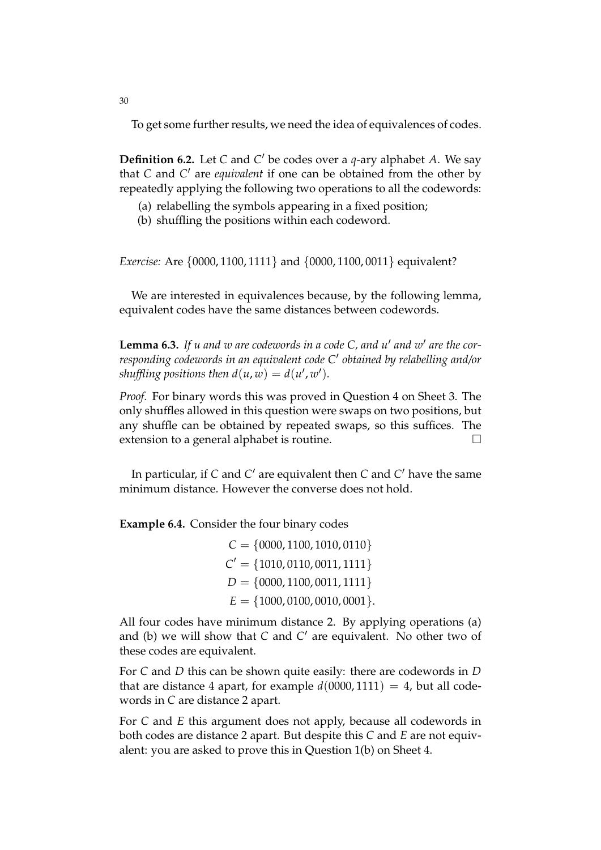To get some further results, we need the idea of equivalences of codes.

**Definition 6.2.** Let *C* and *C*<sup>'</sup> be codes over a *q*-ary alphabet *A*. We say that *C* and *C* 0 are *equivalent* if one can be obtained from the other by repeatedly applying the following two operations to all the codewords:

- (a) relabelling the symbols appearing in a fixed position;
- (b) shuffling the positions within each codeword.

*Exercise:* Are {0000, 1100, 1111} and {0000, 1100, 0011} equivalent?

We are interested in equivalences because, by the following lemma, equivalent codes have the same distances between codewords.

**Lemma 6.3.** If u and w are codewords in a code C, and u' and w' are the corresponding codewords in an equivalent code C' obtained by relabelling and/or  $shuffling$  positions then  $d(u,w) = d(u',w').$ 

*Proof.* For binary words this was proved in Question 4 on Sheet 3. The only shuffles allowed in this question were swaps on two positions, but any shuffle can be obtained by repeated swaps, so this suffices. The extension to a general alphabet is routine.

In particular, if C and C' are equivalent then C and C' have the same minimum distance. However the converse does not hold.

**Example 6.4.** Consider the four binary codes

 $C = \{0000, 1100, 1010, 0110\}$  $C' = \{1010, 0110, 0011, 1111\}$ *D* = {0000, 1100, 0011, 1111}  $E = \{1000, 0100, 0010, 0001\}.$ 

All four codes have minimum distance 2. By applying operations (a) and (b) we will show that *C* and *C'* are equivalent. No other two of these codes are equivalent.

For *C* and *D* this can be shown quite easily: there are codewords in *D* that are distance 4 apart, for example  $d(0000, 1111) = 4$ , but all codewords in *C* are distance 2 apart.

For *C* and *E* this argument does not apply, because all codewords in both codes are distance 2 apart. But despite this *C* and *E* are not equivalent: you are asked to prove this in Question 1(b) on Sheet 4.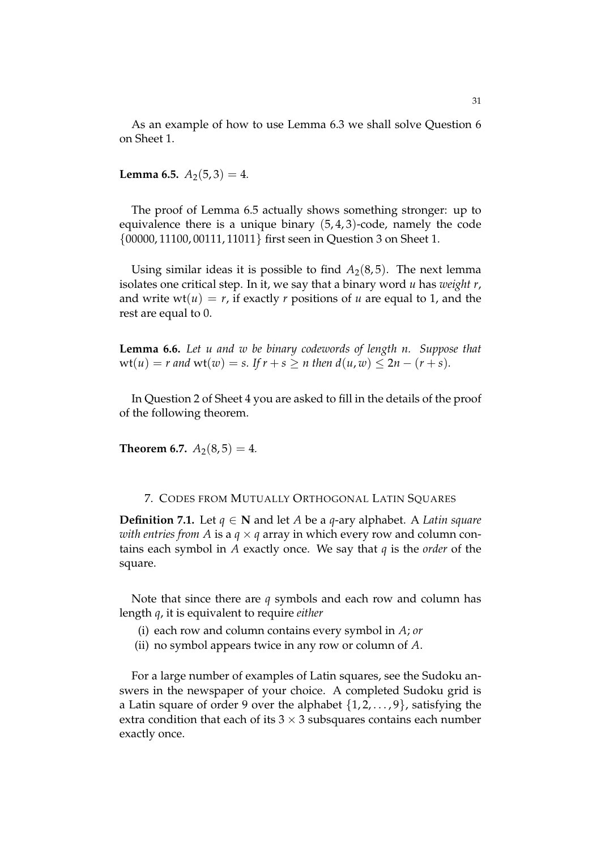As an example of how to use Lemma 6.3 we shall solve Question 6 on Sheet 1.

**Lemma 6.5.**  $A_2(5, 3) = 4$ .

The proof of Lemma 6.5 actually shows something stronger: up to equivalence there is a unique binary  $(5, 4, 3)$ -code, namely the code {00000, 11100, 00111, 11011} first seen in Question 3 on Sheet 1.

Using similar ideas it is possible to find  $A_2(8,5)$ . The next lemma isolates one critical step. In it, we say that a binary word *u* has *weight r*, and write  $wt(u) = r$ , if exactly *r* positions of *u* are equal to 1, and the rest are equal to 0.

**Lemma 6.6.** *Let u and w be binary codewords of length n. Suppose that*  $wt(u) = r$  and  $wt(w) = s$ . If  $r + s \ge n$  then  $d(u, w) \le 2n - (r + s)$ .

In Question 2 of Sheet 4 you are asked to fill in the details of the proof of the following theorem.

**Theorem 6.7.**  $A_2(8, 5) = 4$ .

7. CODES FROM MUTUALLY ORTHOGONAL LATIN SQUARES

**Definition 7.1.** Let  $q \in \mathbb{N}$  and let *A* be a *q*-ary alphabet. A *Latin square with entries from A* is a  $q \times q$  array in which every row and column contains each symbol in *A* exactly once. We say that *q* is the *order* of the square.

Note that since there are *q* symbols and each row and column has length *q*, it is equivalent to require *either*

- (i) each row and column contains every symbol in *A*; *or*
- (ii) no symbol appears twice in any row or column of *A*.

For a large number of examples of Latin squares, see the Sudoku answers in the newspaper of your choice. A completed Sudoku grid is a Latin square of order 9 over the alphabet  $\{1, 2, \ldots, 9\}$ , satisfying the extra condition that each of its  $3 \times 3$  subsquares contains each number exactly once.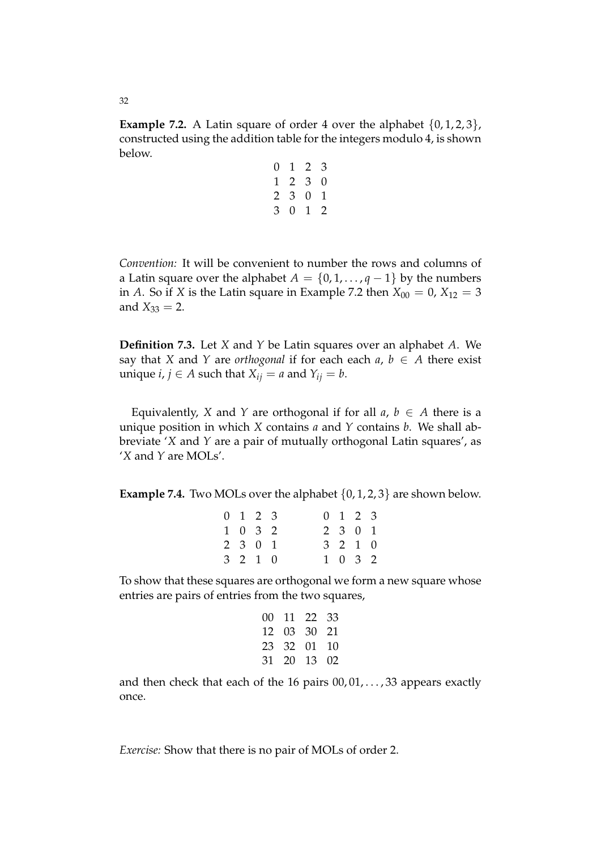**Example 7.2.** A Latin square of order 4 over the alphabet  $\{0, 1, 2, 3\}$ , constructed using the addition table for the integers modulo 4, is shown below.

|   |     | 0 1 2 3 |    |
|---|-----|---------|----|
|   |     | 1 2 3   | 0  |
|   | 2 3 |         | 01 |
| 3 |     | 0 1 2   |    |

*Convention:* It will be convenient to number the rows and columns of a Latin square over the alphabet  $A = \{0, 1, \ldots, q - 1\}$  by the numbers in *A*. So if *X* is the Latin square in Example 7.2 then  $X_{00} = 0$ ,  $X_{12} = 3$ and  $X_{33} = 2$ .

**Definition 7.3.** Let *X* and *Y* be Latin squares over an alphabet *A*. We say that *X* and *Y* are *orthogonal* if for each each  $a, b \in A$  there exist unique *i*, *j* ∈ *A* such that  $X_{ij} = a$  and  $Y_{ij} = b$ .

Equivalently, *X* and *Y* are orthogonal if for all  $a, b \in A$  there is a unique position in which *X* contains *a* and *Y* contains *b*. We shall abbreviate '*X* and *Y* are a pair of mutually orthogonal Latin squares', as '*X* and *Y* are MOLs'.

**Example 7.4.** Two MOLs over the alphabet  $\{0, 1, 2, 3\}$  are shown below.

|  | $0 \t1 \t2 \t3$ |  |  | $0 \t1 \t2 \t3$ |  |
|--|-----------------|--|--|-----------------|--|
|  | $1 \t0 \t3 \t2$ |  |  | 2 3 0 1         |  |
|  | 2 3 0 1         |  |  | 3 2 1 0         |  |
|  | 3 2 1 0         |  |  | $1 \t0 \t3 \t2$ |  |

To show that these squares are orthogonal we form a new square whose entries are pairs of entries from the two squares,

|  | 00 11 22 33 |  |
|--|-------------|--|
|  | 12 03 30 21 |  |
|  | 23 32 01 10 |  |
|  | 31 20 13 02 |  |

and then check that each of the 16 pairs  $00, 01, \ldots, 33$  appears exactly once.

*Exercise:* Show that there is no pair of MOLs of order 2.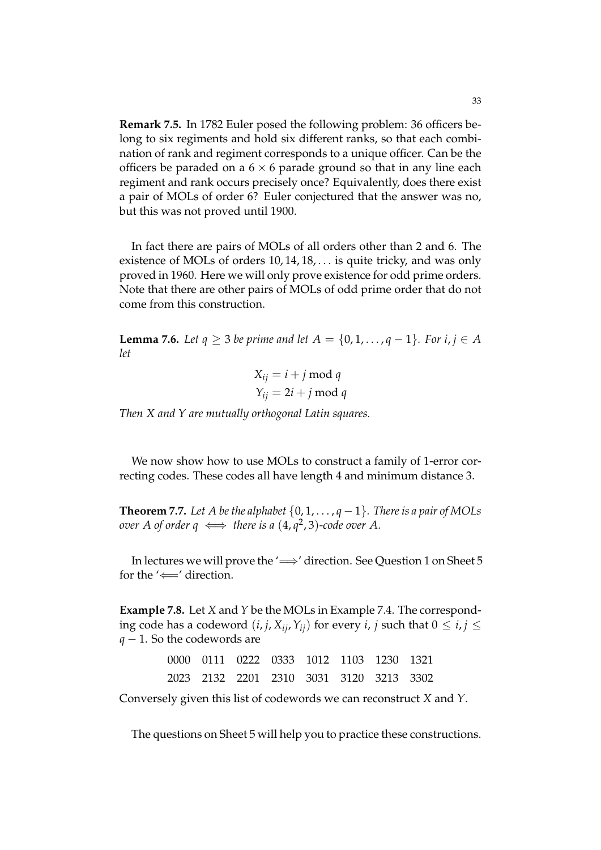**Remark 7.5.** In 1782 Euler posed the following problem: 36 officers belong to six regiments and hold six different ranks, so that each combination of rank and regiment corresponds to a unique officer. Can be the officers be paraded on a  $6 \times 6$  parade ground so that in any line each regiment and rank occurs precisely once? Equivalently, does there exist a pair of MOLs of order 6? Euler conjectured that the answer was no, but this was not proved until 1900.

In fact there are pairs of MOLs of all orders other than 2 and 6. The existence of MOLs of orders  $10, 14, 18, \ldots$  is quite tricky, and was only proved in 1960. Here we will only prove existence for odd prime orders. Note that there are other pairs of MOLs of odd prime order that do not come from this construction.

**Lemma 7.6.** *Let q* > 3 *be prime and let*  $A = \{0, 1, ..., q - 1\}$ *. For i, j*  $\in$  *A let*

$$
X_{ij} = i + j \mod q
$$
  

$$
Y_{ij} = 2i + j \mod q
$$

*Then X and Y are mutually orthogonal Latin squares.*

We now show how to use MOLs to construct a family of 1-error correcting codes. These codes all have length 4 and minimum distance 3.

**Theorem 7.7.** *Let A be the alphabet*  $\{0, 1, \ldots, q-1\}$ *. There is a pair of MOLs over A of order*  $q \iff$  *there is a*  $(4, q^2, 3)$ -code over A.

In lectures we will prove the  $\implies$ ' direction. See Question 1 on Sheet 5 for the  $' \leftarrow '$  direction.

**Example 7.8.** Let *X* and *Y* be the MOLs in Example 7.4. The corresponding code has a codeword  $(i, j, X_{ii}, Y_{ii})$  for every *i*, *j* such that  $0 \le i, j \le$ *q* − 1. So the codewords are

|  |  | 0000 0111 0222 0333 1012 1103 1230 1321 |  |  |
|--|--|-----------------------------------------|--|--|
|  |  | 2023 2132 2201 2310 3031 3120 3213 3302 |  |  |

Conversely given this list of codewords we can reconstruct *X* and *Y*.

The questions on Sheet 5 will help you to practice these constructions.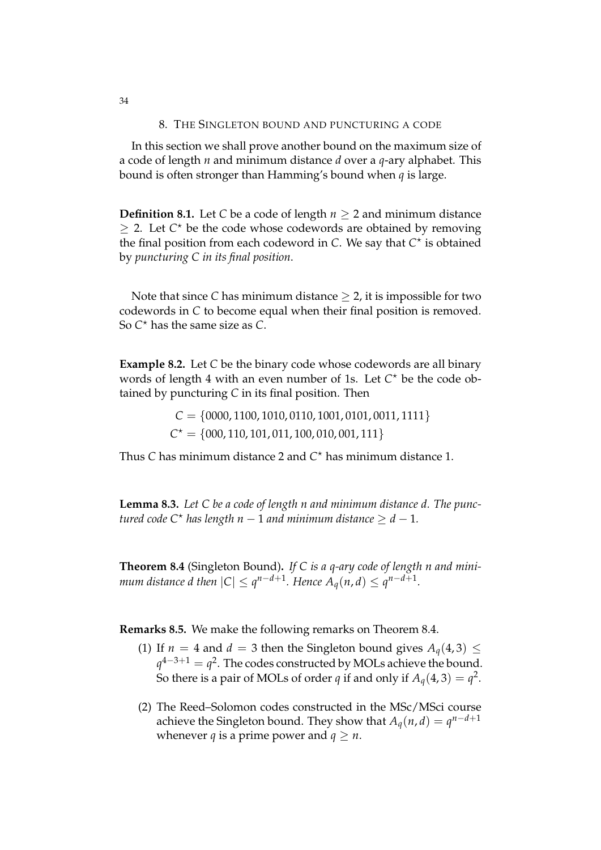## 8. THE SINGLETON BOUND AND PUNCTURING A CODE

In this section we shall prove another bound on the maximum size of a code of length *n* and minimum distance *d* over a *q*-ary alphabet. This bound is often stronger than Hamming's bound when *q* is large.

**Definition 8.1.** Let *C* be a code of length  $n \geq 2$  and minimum distance  $\geq$  2. Let  $C^*$  be the code whose codewords are obtained by removing the final position from each codeword in *C*. We say that  $C^*$  is obtained by *puncturing C in its final position*.

Note that since *C* has minimum distance  $\geq$  2, it is impossible for two codewords in *C* to become equal when their final position is removed. So *C* ? has the same size as *C*.

**Example 8.2.** Let *C* be the binary code whose codewords are all binary words of length 4 with an even number of 1s. Let  $C^*$  be the code obtained by puncturing *C* in its final position. Then

> *C* = {0000, 1100, 1010, 0110, 1001, 0101, 0011, 1111}  $C^* = \{000, 110, 101, 011, 100, 010, 001, 111\}$

Thus *C* has minimum distance 2 and *C* ? has minimum distance 1.

**Lemma 8.3.** *Let C be a code of length n and minimum distance d. The punctured code*  $C^*$  *has length n* − 1 *and minimum distance*  $\geq d - 1$ *.* 

**Theorem 8.4** (Singleton Bound)**.** *If C is a q-ary code of length n and minimum distance d then*  $|C| \le q^{n-d+1}$ . Hence  $A_q(n,d) \le q^{n-d+1}$ .

**Remarks 8.5.** We make the following remarks on Theorem 8.4.

- (1) If  $n = 4$  and  $d = 3$  then the Singleton bound gives  $A_q(4,3) \leq$  $q^{4-3+1}=q^2.$  The codes constructed by MOLs achieve the bound. So there is a pair of MOLs of order *q* if and only if  $A_q(4,3) = q^2$ .
- (2) The Reed–Solomon codes constructed in the MSc/MSci course achieve the Singleton bound. They show that  $A_q(n,d) = q^{n-d+1}$ whenever *q* is a prime power and  $q \ge n$ .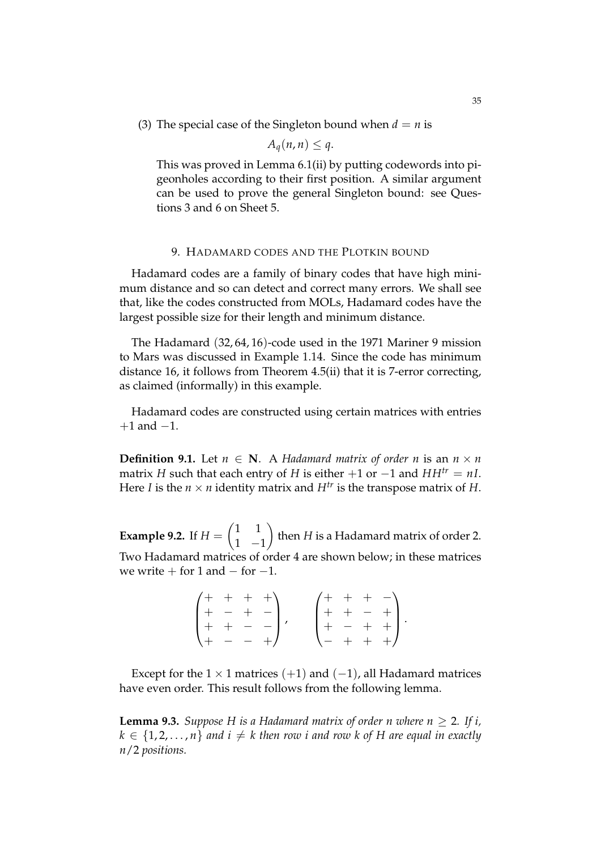(3) The special case of the Singleton bound when  $d = n$  is

$$
A_q(n,n) \leq q.
$$

This was proved in Lemma 6.1(ii) by putting codewords into pigeonholes according to their first position. A similar argument can be used to prove the general Singleton bound: see Questions 3 and 6 on Sheet 5.

### 9. HADAMARD CODES AND THE PLOTKIN BOUND

Hadamard codes are a family of binary codes that have high minimum distance and so can detect and correct many errors. We shall see that, like the codes constructed from MOLs, Hadamard codes have the largest possible size for their length and minimum distance.

The Hadamard (32, 64, 16)-code used in the 1971 Mariner 9 mission to Mars was discussed in Example 1.14. Since the code has minimum distance 16, it follows from Theorem 4.5(ii) that it is 7-error correcting, as claimed (informally) in this example.

Hadamard codes are constructed using certain matrices with entries  $+1$  and  $-1$ .

**Definition 9.1.** Let  $n \in \mathbb{N}$ . A *Hadamard matrix of order n* is an  $n \times n$ matrix *H* such that each entry of *H* is either +1 or  $-1$  and  $HH<sup>tr</sup> = nI$ . Here *I* is the  $n \times n$  identity matrix and  $H^{tr}$  is the transpose matrix of *H*.

**Example 9.2.** If  $H = \begin{pmatrix} 1 & 1 \\ 1 & 1 \end{pmatrix}$  $1 -1$  $\setminus$ then *H* is a Hadamard matrix of order 2. Two Hadamard matrices of order 4 are shown below; in these matrices

we write  $+$  for 1 and  $-$  for  $-1$ .

| $( + + + + )$ |  |  |           |  | $( + + + -)$            |  |
|---------------|--|--|-----------|--|-------------------------|--|
| $+ - + -$     |  |  | $+ + - +$ |  |                         |  |
| $+ + - -$     |  |  | $+ - + +$ |  |                         |  |
| $(+ - - +)$   |  |  |           |  | $\left(- + + + \right)$ |  |

Except for the  $1 \times 1$  matrices  $(+1)$  and  $(-1)$ , all Hadamard matrices have even order. This result follows from the following lemma.

**Lemma 9.3.** *Suppose H is a Hadamard matrix of order n where*  $n \ge 2$ *. If i,*  $k \in \{1, 2, \ldots, n\}$  and  $i \neq k$  then row i and row k of H are equal in exactly *n*/2 *positions.*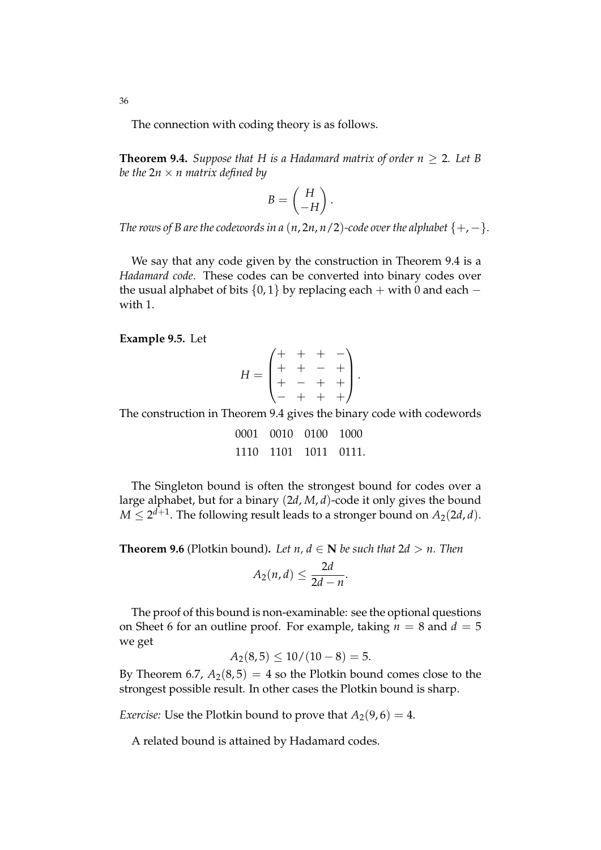The connection with coding theory is as follows.

**Theorem 9.4.** *Suppose that H is a Hadamard matrix of order*  $n \ge 2$ *. Let B be the*  $2n \times n$  *matrix defined by* 

$$
B=\begin{pmatrix} H \\ -H \end{pmatrix}.
$$

*The rows of B are the codewords in a*  $(n, 2n, n/2)$ -code over the alphabet  $\{+, -\}.$ 

We say that any code given by the construction in Theorem 9.4 is a *Hadamard code*. These codes can be converted into binary codes over the usual alphabet of bits  $\{0, 1\}$  by replacing each + with 0 and each – with 1.

**Example 9.5.** Let

$$
H = \begin{pmatrix} + & + & + & - \\ + & + & - & + \\ + & - & + & + \\ - & + & + & + \end{pmatrix}.
$$

The construction in Theorem 9.4 gives the binary code with codewords

0001 0010 0100 1000 1110 1101 1011 0111.

The Singleton bound is often the strongest bound for codes over a large alphabet, but for a binary (2*d*, *M*, *d*)-code it only gives the bound  $M \leq 2^{d+1}$ . The following result leads to a stronger bound on  $A_2(2d, d)$ .

**Theorem 9.6** (Plotkin bound). Let  $n, d \in \mathbb{N}$  be such that  $2d > n$ . Then

$$
A_2(n,d) \leq \frac{2d}{2d-n}.
$$

The proof of this bound is non-examinable: see the optional questions on Sheet 6 for an outline proof. For example, taking  $n = 8$  and  $d = 5$ we get

$$
A_2(8,5) \le 10/(10-8) = 5.
$$

By Theorem 6.7,  $A_2(8,5) = 4$  so the Plotkin bound comes close to the strongest possible result. In other cases the Plotkin bound is sharp.

*Exercise:* Use the Plotkin bound to prove that  $A_2(9, 6) = 4$ .

A related bound is attained by Hadamard codes.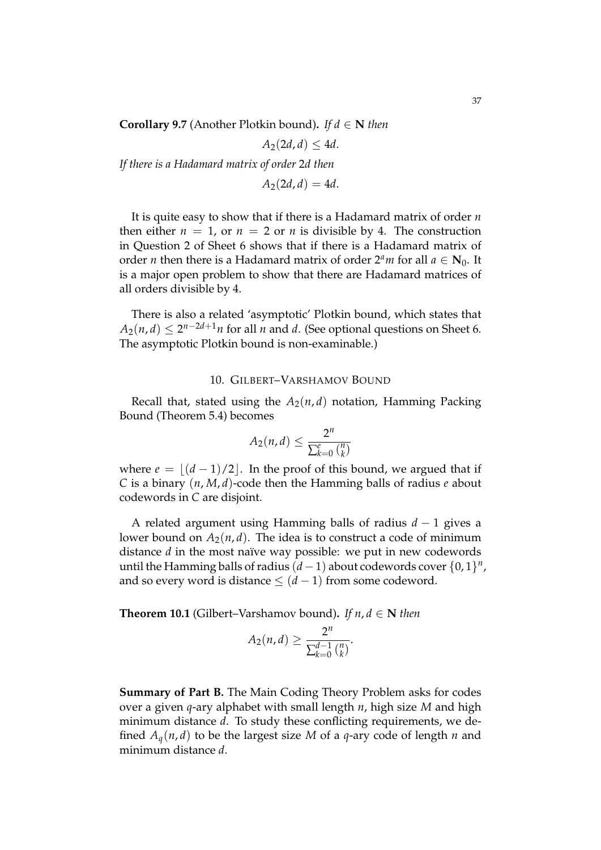**Corollary 9.7** (Another Plotkin bound). *If*  $d \in N$  *then* 

 $A_2(2d, d) \leq 4d$ .

*If there is a Hadamard matrix of order* 2*d then*

$$
A_2(2d,d)=4d.
$$

It is quite easy to show that if there is a Hadamard matrix of order *n* then either  $n = 1$ , or  $n = 2$  or  $n$  is divisible by 4. The construction in Question 2 of Sheet 6 shows that if there is a Hadamard matrix of order *n* then there is a Hadamard matrix of order  $2<sup>a</sup>m$  for all  $a \in N_0$ . It is a major open problem to show that there are Hadamard matrices of all orders divisible by 4.

There is also a related 'asymptotic' Plotkin bound, which states that  $A_2(n,d) \leq 2^{n-2d+1}n$  for all *n* and *d*. (See optional questions on Sheet 6. The asymptotic Plotkin bound is non-examinable.)

### 10. GILBERT–VARSHAMOV BOUND

Recall that, stated using the  $A_2(n,d)$  notation, Hamming Packing Bound (Theorem 5.4) becomes

$$
A_2(n,d) \leq \frac{2^n}{\sum_{k=0}^e {n \choose k}}
$$

where  $e = |(d-1)/2|$ . In the proof of this bound, we argued that if *C* is a binary (*n*, *M*, *d*)-code then the Hamming balls of radius *e* about codewords in *C* are disjoint.

A related argument using Hamming balls of radius *d* − 1 gives a lower bound on  $A_2(n, d)$ . The idea is to construct a code of minimum distance *d* in the most naïve way possible: we put in new codewords until the Hamming balls of radius  $(d-1)$  about codewords cover  $\{0,1\}^n$ , and so every word is distance  $\leq (d-1)$  from some codeword.

**Theorem 10.1** (Gilbert–Varshamov bound). *If*  $n, d \in \mathbb{N}$  *then* 

$$
A_2(n,d) \geq \frac{2^n}{\sum_{k=0}^{d-1} {n \choose k}}.
$$

**Summary of Part B.** The Main Coding Theory Problem asks for codes over a given *q*-ary alphabet with small length *n*, high size *M* and high minimum distance *d*. To study these conflicting requirements, we defined  $A_q(n,d)$  to be the largest size M of a *q*-ary code of length *n* and minimum distance *d*.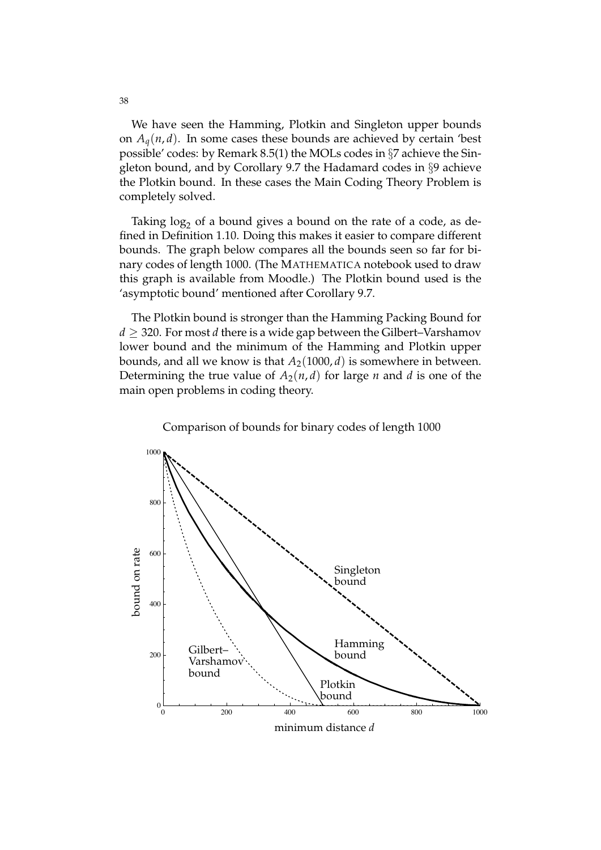We have seen the Hamming, Plotkin and Singleton upper bounds on  $A_q(n,d)$ . In some cases these bounds are achieved by certain 'best possible' codes: by Remark 8.5(1) the MOLs codes in §7 achieve the Singleton bound, and by Corollary 9.7 the Hadamard codes in §9 achieve the Plotkin bound. In these cases the Main Coding Theory Problem is completely solved.

Taking  $\log_2$  of a bound gives a bound on the rate of a code, as defined in Definition 1.10. Doing this makes it easier to compare different bounds. The graph below compares all the bounds seen so far for binary codes of length 1000. (The MATHEMATICA notebook used to draw this graph is available from Moodle.) The Plotkin bound used is the 'asymptotic bound' mentioned after Corollary 9.7.

The Plotkin bound is stronger than the Hamming Packing Bound for  $d \geq 320$ . For most *d* there is a wide gap between the Gilbert–Varshamov lower bound and the minimum of the Hamming and Plotkin upper bounds, and all we know is that  $A_2(1000, d)$  is somewhere in between. Determining the true value of  $A_2(n,d)$  for large *n* and *d* is one of the main open problems in coding theory.



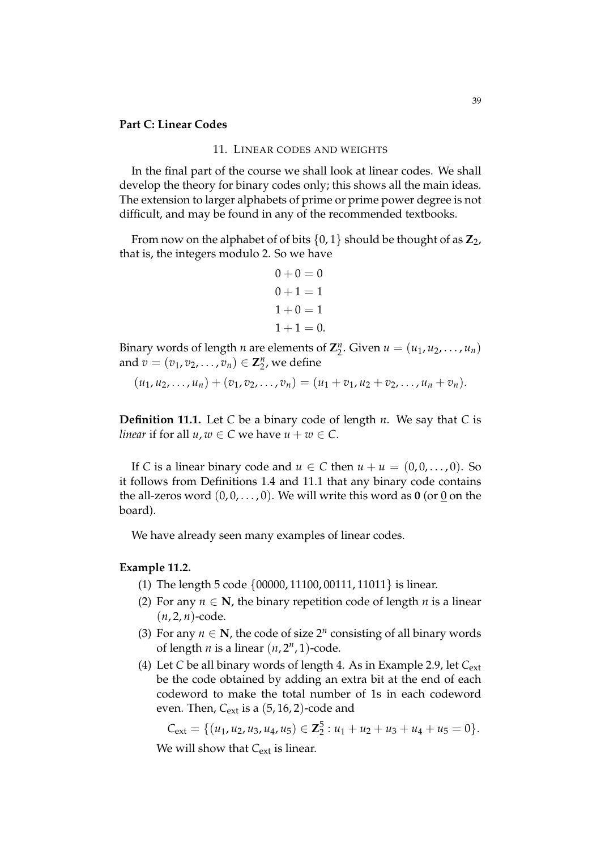#### **Part C: Linear Codes**

### 11. LINEAR CODES AND WEIGHTS

In the final part of the course we shall look at linear codes. We shall develop the theory for binary codes only; this shows all the main ideas. The extension to larger alphabets of prime or prime power degree is not difficult, and may be found in any of the recommended textbooks.

From now on the alphabet of of bits  $\{0, 1\}$  should be thought of as  $\mathbb{Z}_2$ , that is, the integers modulo 2. So we have

$$
0 + 0 = 0
$$
  
0 + 1 = 1  

$$
1 + 0 = 1
$$
  

$$
1 + 1 = 0.
$$

Binary words of length *n* are elements of  $\mathbb{Z}_2^n$ . Given  $u = (u_1, u_2, \dots, u_n)$ and  $v = (v_1, v_2, \ldots, v_n) \in \mathbb{Z}_2^n$ , we define

 $(u_1, u_2, \ldots, u_n) + (v_1, v_2, \ldots, v_n) = (u_1 + v_1, u_2 + v_2, \ldots, u_n + v_n).$ 

**Definition 11.1.** Let *C* be a binary code of length *n*. We say that *C* is *linear* if for all  $u, w \in C$  we have  $u + w \in C$ .

If *C* is a linear binary code and  $u \in C$  then  $u + u = (0, 0, \ldots, 0)$ . So it follows from Definitions 1.4 and 11.1 that any binary code contains the all-zeros word  $(0, 0, \ldots, 0)$ . We will write this word as  $\mathbf{0}$  (or  $\underline{0}$  on the board).

We have already seen many examples of linear codes.

### **Example 11.2.**

- (1) The length 5 code {00000, 11100, 00111, 11011} is linear.
- (2) For any  $n \in \mathbb{N}$ , the binary repetition code of length *n* is a linear (*n*, 2, *n*)-code.
- (3) For any  $n \in \mathbb{N}$ , the code of size  $2^n$  consisting of all binary words of length *n* is a linear  $(n, 2<sup>n</sup>, 1)$ -code.
- (4) Let *C* be all binary words of length 4. As in Example 2.9, let *C*ext be the code obtained by adding an extra bit at the end of each codeword to make the total number of 1s in each codeword even. Then, C<sub>ext</sub> is a (5, 16, 2)-code and

 $C_{ext} = \{(u_1, u_2, u_3, u_4, u_5) \in \mathbb{Z}_2^5 : u_1 + u_2 + u_3 + u_4 + u_5 = 0\}.$ 

We will show that C<sub>ext</sub> is linear.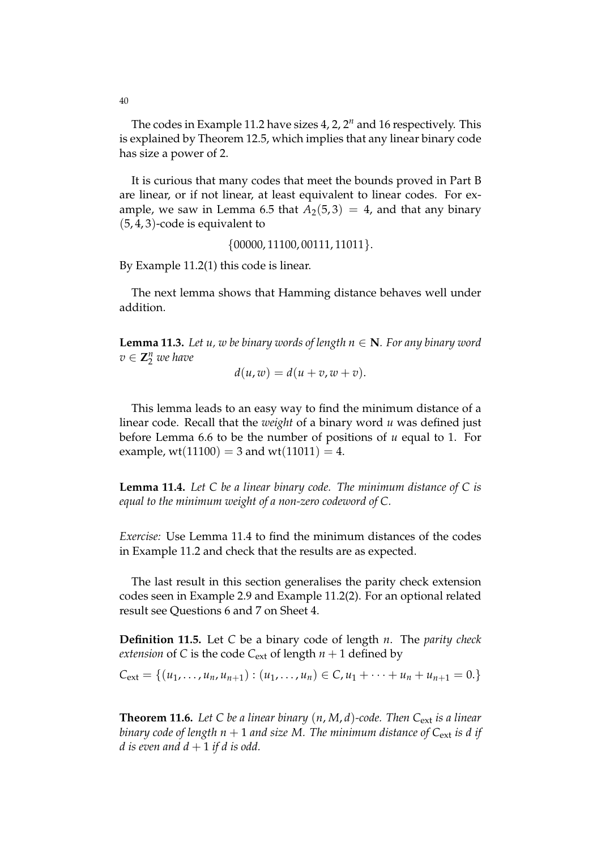The codes in Example 11.2 have sizes 4, 2, 2*<sup>n</sup>* and 16 respectively. This is explained by Theorem 12.5, which implies that any linear binary code has size a power of 2.

It is curious that many codes that meet the bounds proved in Part B are linear, or if not linear, at least equivalent to linear codes. For example, we saw in Lemma 6.5 that  $A_2(5,3) = 4$ , and that any binary  $(5, 4, 3)$ -code is equivalent to

{00000, 11100, 00111, 11011}.

By Example 11.2(1) this code is linear.

The next lemma shows that Hamming distance behaves well under addition.

**Lemma 11.3.** *Let u, w be binary words of length*  $n \in \mathbb{N}$ *. For any binary word*  $v \in \mathbb{Z}_2^n$  we have

$$
d(u, w) = d(u + v, w + v).
$$

This lemma leads to an easy way to find the minimum distance of a linear code. Recall that the *weight* of a binary word *u* was defined just before Lemma 6.6 to be the number of positions of *u* equal to 1. For example,  $wt(11100) = 3$  and  $wt(11011) = 4$ .

**Lemma 11.4.** *Let C be a linear binary code. The minimum distance of C is equal to the minimum weight of a non-zero codeword of C.*

*Exercise:* Use Lemma 11.4 to find the minimum distances of the codes in Example 11.2 and check that the results are as expected.

The last result in this section generalises the parity check extension codes seen in Example 2.9 and Example 11.2(2). For an optional related result see Questions 6 and 7 on Sheet 4.

**Definition 11.5.** Let *C* be a binary code of length *n*. The *parity check extension* of *C* is the code  $C_{ext}$  of length  $n + 1$  defined by

$$
C_{ext} = \{(u_1, \ldots, u_n, u_{n+1}) : (u_1, \ldots, u_n) \in C, u_1 + \cdots + u_n + u_{n+1} = 0.\}
$$

**Theorem 11.6.** *Let C be a linear binary* (*n*, *M*, *d*)*-code. Then C*ext *is a linear binary code of length n* + 1 *and size M. The minimum distance of C*<sub>ext</sub> *is d if d is even and*  $d + 1$  *if d is odd.*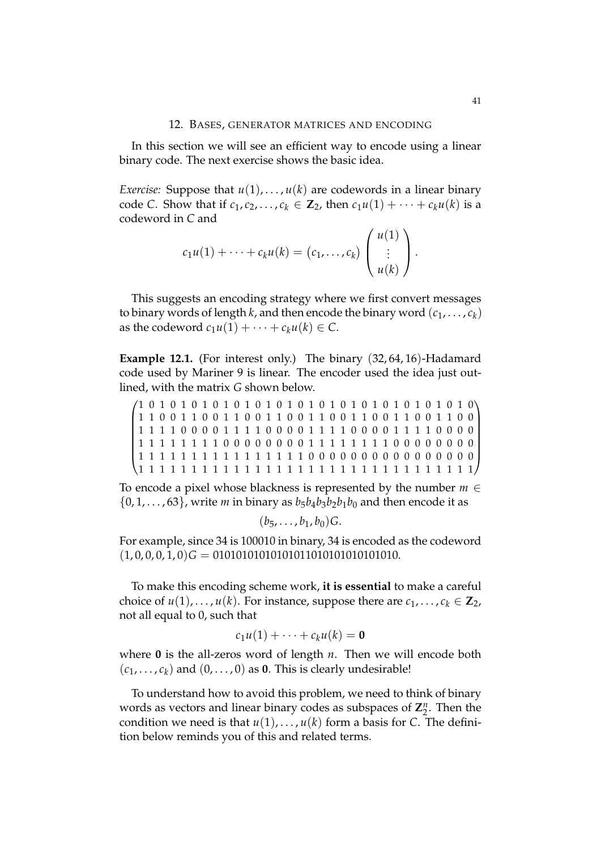#### 12. BASES, GENERATOR MATRICES AND ENCODING

In this section we will see an efficient way to encode using a linear binary code. The next exercise shows the basic idea.

*Exercise:* Suppose that  $u(1), \ldots, u(k)$  are codewords in a linear binary code *C*. Show that if  $c_1, c_2, \ldots, c_k \in \mathbb{Z}_2$ , then  $c_1u(1) + \cdots + c_ku(k)$  is a codeword in *C* and

$$
c_1u(1)+\cdots+c_ku(k)=(c_1,\ldots,c_k)\left(\begin{array}{c}u(1)\\ \vdots\\ u(k)\end{array}\right).
$$

This suggests an encoding strategy where we first convert messages to binary words of length  $k$ , and then encode the binary word  $(c_1,\ldots,c_k)$ as the codeword  $c_1u(1) + \cdots + c_ku(k) \in C$ .

**Example 12.1.** (For interest only.) The binary (32, 64, 16)-Hadamard code used by Mariner 9 is linear. The encoder used the idea just outlined, with the matrix *G* shown below.

 1 0 1 0 1 0 1 0 1 0 1 0 1 0 1 0 1 0 1 0 1 0 1 0 1 0 1 0 1 0 1 0  $\overline{\phantom{a}}$ 1 1 0 0 1 1 0 0 1 1 0 0 1 1 0 0 1 1 0 0 1 1 0 0 1 1 0 0 1 1 0 0 1 1 1 1 0 0 0 0 1 1 1 1 0 0 0 0 1 1 1 1 0 0 0 0 1 1 1 1 0 0 0 0 1 1 1 1 1 1 1 1 0 0 0 0 0 0 0 0 1 1 1 1 1 1 1 1 0 0 0 0 0 0 0 0 1 1 1 1 1 1 1 1 1 1 1 1 1 1 1 1 0 0 0 0 0 0 0 0 0 0 0 0 0 0 0 0 1 1 1 1 1 1 1 1 1 1 1 1 1 1 1 1 1 1 1 1 1 1 1 1 1 1 1 1 1 1 1 1

To encode a pixel whose blackness is represented by the number *m* ∈  $\{0, 1, \ldots, 63\}$ , write *m* in binary as  $b_5b_4b_3b_2b_1b_0$  and then encode it as

$$
(b_5,\ldots,b_1,b_0)G.
$$

For example, since 34 is 100010 in binary, 34 is encoded as the codeword  $(1, 0, 0, 0, 1, 0)$ *G* = 01010101010101011010101010101010100.

To make this encoding scheme work, **it is essential** to make a careful choice of  $u(1), \ldots, u(k)$ . For instance, suppose there are  $c_1, \ldots, c_k \in \mathbb{Z}_2$ , not all equal to 0, such that

$$
c_1u(1)+\cdots+c_ku(k)=\mathbf{0}
$$

where **0** is the all-zeros word of length *n*. Then we will encode both  $(c_1, \ldots, c_k)$  and  $(0, \ldots, 0)$  as **0**. This is clearly undesirable!

To understand how to avoid this problem, we need to think of binary words as vectors and linear binary codes as subspaces of  $\mathbb{Z}_2^n$ . Then the condition we need is that  $u(1), \ldots, u(k)$  form a basis for *C*. The definition below reminds you of this and related terms.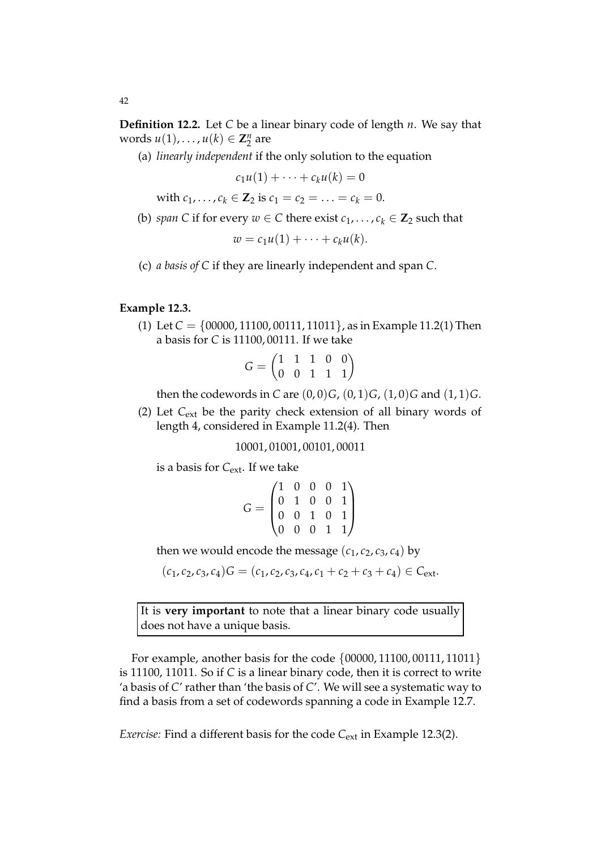**Definition 12.2.** Let *C* be a linear binary code of length *n*. We say that words  $u(1)$ , ...,  $u(k) \in \mathbb{Z}_2^n$  are

(a) *linearly independent* if the only solution to the equation

$$
c_1u(1)+\cdots+c_ku(k)=0
$$

with  $c_1, ..., c_k \in \mathbb{Z}_2$  is  $c_1 = c_2 = ... = c_k = 0$ .

(b) *span* C if for every  $w \in C$  there exist  $c_1, \ldots, c_k \in \mathbb{Z}_2$  such that

 $w = c_1 u(1) + \cdots + c_k u(k).$ 

(c) *a basis of C* if they are linearly independent and span *C*.

### **Example 12.3.**

(1) Let *C* = {00000, 11100, 00111, 11011}, as in Example 11.2(1) Then a basis for *C* is 11100, 00111. If we take

$$
G = \begin{pmatrix} 1 & 1 & 1 & 0 & 0 \\ 0 & 0 & 1 & 1 & 1 \end{pmatrix}
$$

then the codewords in *C* are (0, 0)*G*, (0, 1)*G*, (1, 0)*G* and (1, 1)*G*.

(2) Let *C*ext be the parity check extension of all binary words of length 4, considered in Example 11.2(4). Then

10001, 01001, 00101, 00011

is a basis for *C*ext. If we take

| $G =$ |  |  |                                                                                                                  |
|-------|--|--|------------------------------------------------------------------------------------------------------------------|
|       |  |  |                                                                                                                  |
|       |  |  | $\begin{pmatrix} 1 & 0 & 0 & 0 & 1 \\ 0 & 1 & 0 & 0 & 1 \\ 0 & 0 & 1 & 0 & 1 \\ 0 & 0 & 0 & 1 & 1 \end{pmatrix}$ |

then we would encode the message  $(c_1, c_2, c_3, c_4)$  by

 $(c_1, c_2, c_3, c_4)G = (c_1, c_2, c_3, c_4, c_1 + c_2 + c_3 + c_4) \in C_{ext}$ 

It is **very important** to note that a linear binary code usually does not have a unique basis.

For example, another basis for the code {00000, 11100, 00111, 11011} is 11100, 11011. So if *C* is a linear binary code, then it is correct to write 'a basis of *C*' rather than 'the basis of *C*'. We will see a systematic way to find a basis from a set of codewords spanning a code in Example 12.7.

*Exercise:* Find a different basis for the code  $C_{ext}$  in Example 12.3(2).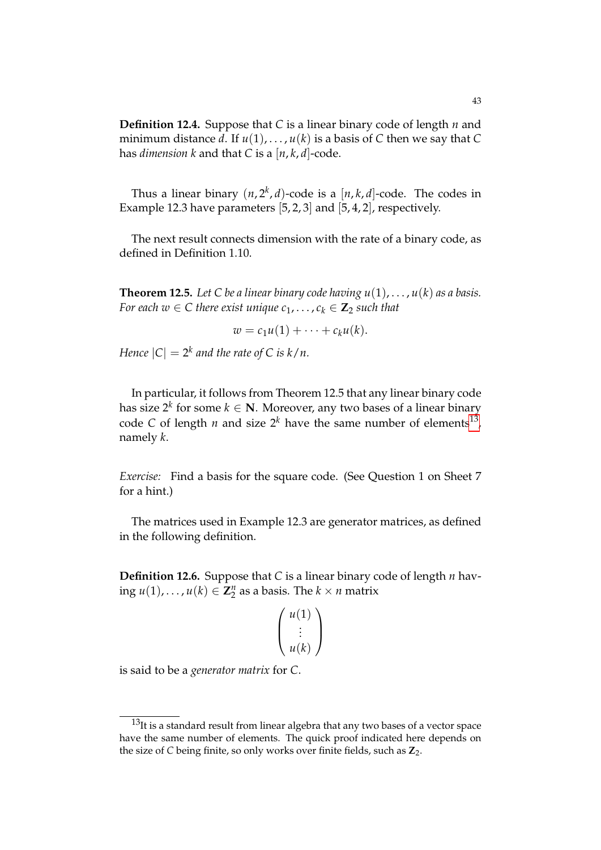**Definition 12.4.** Suppose that *C* is a linear binary code of length *n* and minimum distance *d*. If  $u(1), \ldots, u(k)$  is a basis of C then we say that C has *dimension k* and that *C* is a  $[n, k, d]$ -code.

Thus a linear binary  $(n, 2<sup>k</sup>, d)$ -code is a  $[n, k, d]$ -code. The codes in Example 12.3 have parameters [5, 2, 3] and [5, 4, 2], respectively.

The next result connects dimension with the rate of a binary code, as defined in Definition 1.10.

**Theorem 12.5.** Let C be a linear binary code having  $u(1), \ldots, u(k)$  as a basis. *For each w*  $\in$  *C* there exist unique  $c_1$ , ...,  $c_k$   $\in$  **Z**<sub>2</sub> *such that* 

$$
w = c_1 u(1) + \cdots + c_k u(k).
$$

*Hence*  $|C| = 2^k$  and the rate of C is  $k/n$ .

In particular, it follows from Theorem 12.5 that any linear binary code has size  $2^k$  for some  $k \in \mathbb{N}$ . Moreover, any two bases of a linear binary code *C* of length *n* and size  $2^k$  have the same number of elements<sup>[13](#page-42-0)</sup>, namely *k*.

*Exercise:* Find a basis for the square code. (See Question 1 on Sheet 7 for a hint.)

The matrices used in Example 12.3 are generator matrices, as defined in the following definition.

**Definition 12.6.** Suppose that *C* is a linear binary code of length *n* having  $u(1)$ ,...,  $u(k) \in \mathbb{Z}_2^n$  as a basis. The  $k \times n$  matrix

$$
\begin{pmatrix} u(1) \\ \vdots \\ u(k) \end{pmatrix}
$$

is said to be a *generator matrix* for *C*.

<span id="page-42-0"></span> $13$ It is a standard result from linear algebra that any two bases of a vector space have the same number of elements. The quick proof indicated here depends on the size of *C* being finite, so only works over finite fields, such as **Z**2.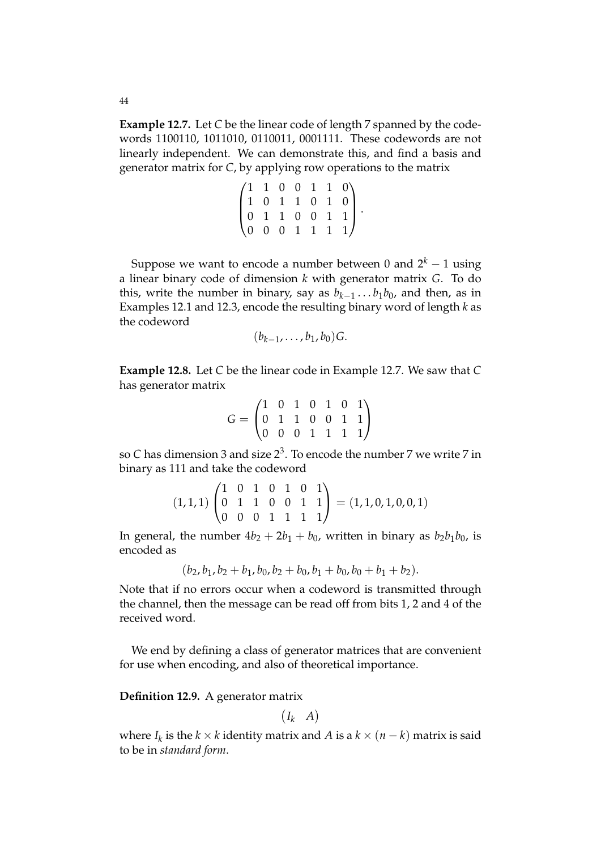**Example 12.7.** Let *C* be the linear code of length 7 spanned by the codewords 1100110, 1011010, 0110011, 0001111. These codewords are not linearly independent. We can demonstrate this, and find a basis and generator matrix for *C*, by applying row operations to the matrix

|  |  |  | $\begin{pmatrix} 1 & 1 & 0 & 0 & 1 & 1 & 0 \\ 1 & 0 & 1 & 1 & 0 & 1 & 0 \\ 0 & 1 & 1 & 0 & 0 & 1 & 1 \\ 0 & 0 & 0 & 1 & 1 & 1 & 1 \end{pmatrix}$ |  |
|--|--|--|--------------------------------------------------------------------------------------------------------------------------------------------------|--|
|  |  |  |                                                                                                                                                  |  |

Suppose we want to encode a number between 0 and  $2^k - 1$  using a linear binary code of dimension *k* with generator matrix *G*. To do this, write the number in binary, say as  $b_{k-1} \ldots b_1 b_0$ , and then, as in Examples 12.1 and 12.3, encode the resulting binary word of length *k* as the codeword

$$
(b_{k-1},\ldots,b_1,b_0)G.
$$

**Example 12.8.** Let *C* be the linear code in Example 12.7. We saw that *C* has generator matrix

$$
G = \begin{pmatrix} 1 & 0 & 1 & 0 & 1 & 0 & 1 \\ 0 & 1 & 1 & 0 & 0 & 1 & 1 \\ 0 & 0 & 0 & 1 & 1 & 1 & 1 \end{pmatrix}
$$

so  $C$  has dimension  $3$  and size  $2^3$ . To encode the number  $7$  we write  $7$  in binary as 111 and take the codeword

$$
(1,1,1)\begin{pmatrix} 1 & 0 & 1 & 0 & 1 & 0 & 1 \\ 0 & 1 & 1 & 0 & 0 & 1 & 1 \\ 0 & 0 & 0 & 1 & 1 & 1 & 1 \end{pmatrix} = (1,1,0,1,0,0,1)
$$

In general, the number  $4b_2 + 2b_1 + b_0$ , written in binary as  $b_2b_1b_0$ , is encoded as

$$
(b_2, b_1, b_2 + b_1, b_0, b_2 + b_0, b_1 + b_0, b_0 + b_1 + b_2).
$$

Note that if no errors occur when a codeword is transmitted through the channel, then the message can be read off from bits 1, 2 and 4 of the received word.

We end by defining a class of generator matrices that are convenient for use when encoding, and also of theoretical importance.

**Definition 12.9.** A generator matrix

$$
(I_k \ A)
$$

where  $I_k$  is the  $k \times k$  identity matrix and  $A$  is a  $k \times (n - k)$  matrix is said to be in *standard form*.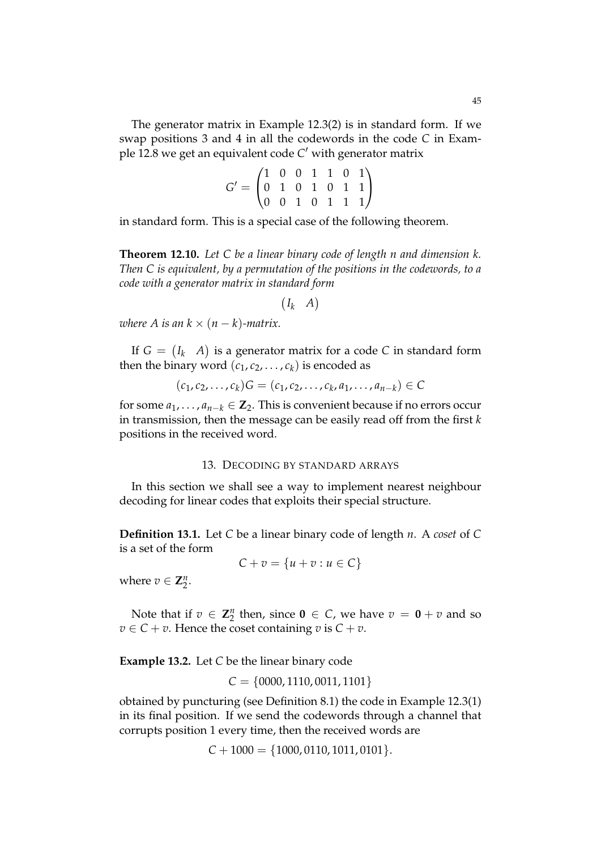The generator matrix in Example 12.3(2) is in standard form. If we swap positions 3 and 4 in all the codewords in the code *C* in Example 12.8 we get an equivalent code C' with generator matrix

$$
G' = \begin{pmatrix} 1 & 0 & 0 & 1 & 1 & 0 & 1 \\ 0 & 1 & 0 & 1 & 0 & 1 & 1 \\ 0 & 0 & 1 & 0 & 1 & 1 & 1 \end{pmatrix}
$$

in standard form. This is a special case of the following theorem.

**Theorem 12.10.** *Let C be a linear binary code of length n and dimension k. Then C is equivalent, by a permutation of the positions in the codewords, to a code with a generator matrix in standard form*

$$
(I_k \ A)
$$

*where A* is an  $k \times (n - k)$ -matrix.

If  $G = (I_k \mid A)$  is a generator matrix for a code  $C$  in standard form then the binary word  $(c_1, c_2, \ldots, c_k)$  is encoded as

$$
(c_1, c_2,..., c_k)G = (c_1, c_2,..., c_k, a_1,..., a_{n-k}) \in C
$$

for some  $a_1, \ldots, a_{n-k} \in \mathbb{Z}_2$ . This is convenient because if no errors occur in transmission, then the message can be easily read off from the first *k* positions in the received word.

#### 13. DECODING BY STANDARD ARRAYS

In this section we shall see a way to implement nearest neighbour decoding for linear codes that exploits their special structure.

**Definition 13.1.** Let *C* be a linear binary code of length *n*. A *coset* of *C* is a set of the form

$$
C + v = \{u + v : u \in C\}
$$

where  $v \in \mathbb{Z}_2^n$ .

Note that if  $v \in \mathbb{Z}_2^n$  then, since  $\mathbf{0} \in \mathbb{C}$ , we have  $v = \mathbf{0} + v$  and so  $v \in C + v$ . Hence the coset containing *v* is  $C + v$ .

**Example 13.2.** Let *C* be the linear binary code

 $C = \{0000, 1110, 0011, 1101\}$ 

obtained by puncturing (see Definition 8.1) the code in Example 12.3(1) in its final position. If we send the codewords through a channel that corrupts position 1 every time, then the received words are

 $C + 1000 = \{1000, 0110, 1011, 0101\}.$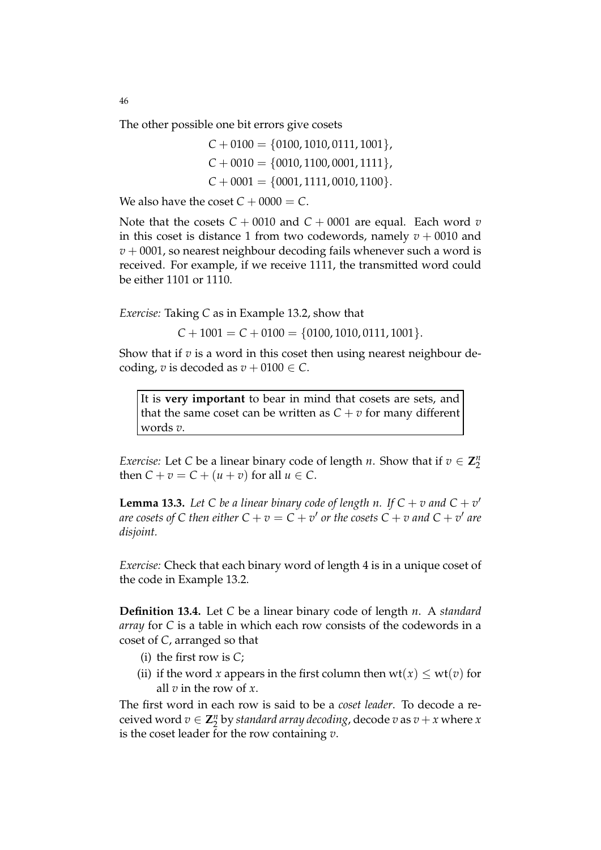The other possible one bit errors give cosets

$$
C + 0100 = \{0100, 1010, 0111, 1001\},
$$
  

$$
C + 0010 = \{0010, 1100, 0001, 1111\},
$$
  

$$
C + 0001 = \{0001, 1111, 0010, 1100\}.
$$

We also have the coset  $C + 0000 = C$ .

Note that the cosets  $C + 0010$  and  $C + 0001$  are equal. Each word *v* in this coset is distance 1 from two codewords, namely  $v + 0010$  and  $v + 0001$ , so nearest neighbour decoding fails whenever such a word is received. For example, if we receive 1111, the transmitted word could be either 1101 or 1110.

*Exercise:* Taking *C* as in Example 13.2, show that

 $C + 1001 = C + 0100 = \{0100, 1010, 0111, 1001\}.$ 

Show that if *v* is a word in this coset then using nearest neighbour decoding, *v* is decoded as  $v + 0100 \in C$ .

It is **very important** to bear in mind that cosets are sets, and that the same coset can be written as  $C + v$  for many different words *v*.

*Exercise:* Let *C* be a linear binary code of length *n*. Show that if  $v \in \mathbb{Z}_2^n$ then  $C + v = C + (u + v)$  for all  $u \in C$ .

**Lemma 13.3.** Let C be a linear binary code of length n. If  $C + v$  and  $C + v'$ are cosets of  $C$  then either  $C + v = C + v'$  or the cosets  $C + v$  and  $C + v'$  are *disjoint.*

*Exercise:* Check that each binary word of length 4 is in a unique coset of the code in Example 13.2.

**Definition 13.4.** Let *C* be a linear binary code of length *n*. A *standard array* for *C* is a table in which each row consists of the codewords in a coset of *C*, arranged so that

- (i) the first row is *C*;
- (ii) if the word *x* appears in the first column then  $wt(x) \le wt(v)$  for all *v* in the row of *x*.

The first word in each row is said to be a *coset leader*. To decode a received word  $v \in \mathbb{Z}_2^n$  by *standard array decoding*, decode  $v$  as  $v + x$  where  $x$ is the coset leader for the row containing *v*.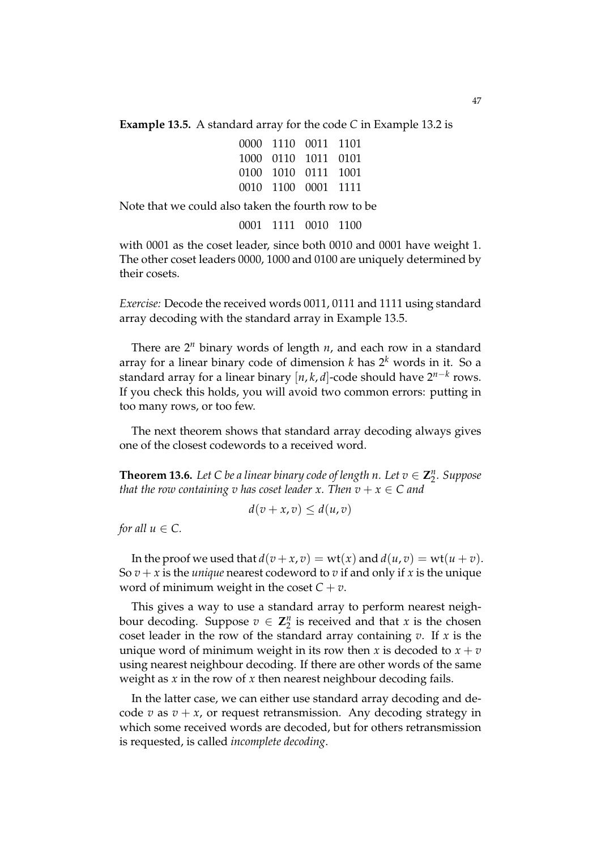**Example 13.5.** A standard array for the code *C* in Example 13.2 is

| 0000 1110 0011 1101 |  |
|---------------------|--|
| 1000 0110 1011 0101 |  |
| 0100 1010 0111 1001 |  |
| 0010 1100 0001 1111 |  |

Note that we could also taken the fourth row to be

```
0001 1111 0010 1100
```
with 0001 as the coset leader, since both 0010 and 0001 have weight 1. The other coset leaders 0000, 1000 and 0100 are uniquely determined by their cosets.

*Exercise:* Decode the received words 0011, 0111 and 1111 using standard array decoding with the standard array in Example 13.5.

There are 2*<sup>n</sup>* binary words of length *n*, and each row in a standard array for a linear binary code of dimension  $k$  has  $2^k$  words in it. So a standard array for a linear binary [*n*, *k*, *d*]-code should have 2*n*−*<sup>k</sup>* rows. If you check this holds, you will avoid two common errors: putting in too many rows, or too few.

The next theorem shows that standard array decoding always gives one of the closest codewords to a received word.

**Theorem 13.6.** Let C be a linear binary code of length n. Let  $v \in \mathbb{Z}_2^n$ . Suppose *that the row containing v has coset leader x. Then*  $v + x \in C$  *and* 

$$
d(v+x,v)\leq d(u,v)
$$

*for all*  $u \in C$ *.* 

In the proof we used that  $d(v+x, v) = \text{wt}(x)$  and  $d(u, v) = \text{wt}(u + v)$ . So  $v + x$  is the *unique* nearest codeword to *v* if and only if *x* is the unique word of minimum weight in the coset  $C + v$ .

This gives a way to use a standard array to perform nearest neighbour decoding. Suppose  $v \in \mathbb{Z}_2^n$  is received and that *x* is the chosen coset leader in the row of the standard array containing *v*. If *x* is the unique word of minimum weight in its row then *x* is decoded to  $x + v$ using nearest neighbour decoding. If there are other words of the same weight as *x* in the row of *x* then nearest neighbour decoding fails.

In the latter case, we can either use standard array decoding and decode *v* as  $v + x$ , or request retransmission. Any decoding strategy in which some received words are decoded, but for others retransmission is requested, is called *incomplete decoding*.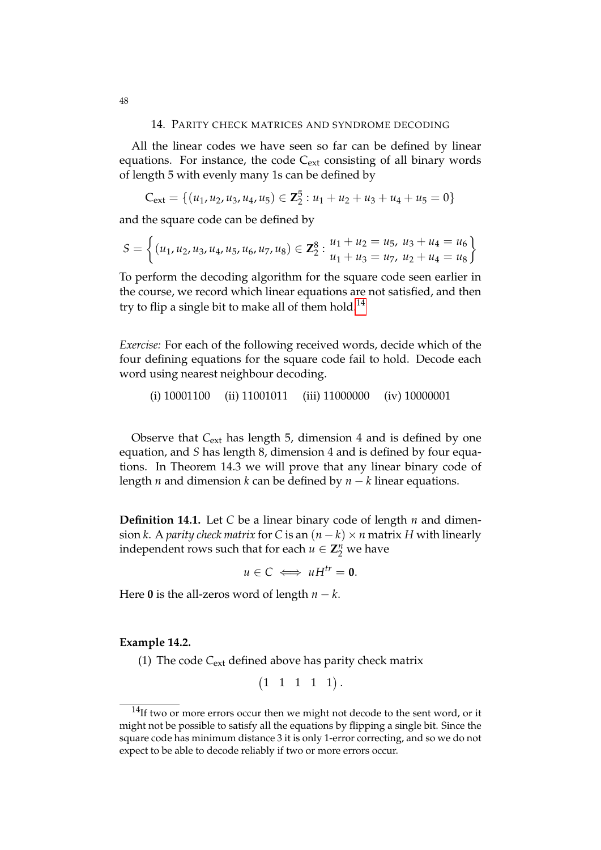#### 14. PARITY CHECK MATRICES AND SYNDROME DECODING

All the linear codes we have seen so far can be defined by linear equations. For instance, the code  $C_{ext}$  consisting of all binary words of length 5 with evenly many 1s can be defined by

$$
C_{ext} = \{(u_1, u_2, u_3, u_4, u_5) \in \mathbb{Z}_2^5 : u_1 + u_2 + u_3 + u_4 + u_5 = 0\}
$$

and the square code can be defined by

$$
S = \left\{ (u_1, u_2, u_3, u_4, u_5, u_6, u_7, u_8) \in \mathbb{Z}_2^8 : \frac{u_1 + u_2 = u_5, u_3 + u_4 = u_6}{u_1 + u_3 = u_7, u_2 + u_4 = u_8} \right\}
$$

To perform the decoding algorithm for the square code seen earlier in the course, we record which linear equations are not satisfied, and then try to flip a single bit to make all of them hold.<sup>[14](#page-47-0)</sup>

*Exercise:* For each of the following received words, decide which of the four defining equations for the square code fail to hold. Decode each word using nearest neighbour decoding.

(i) 10001100 (ii) 11001011 (iii) 11000000 (iv) 10000001

Observe that *C*ext has length 5, dimension 4 and is defined by one equation, and *S* has length 8, dimension 4 and is defined by four equations. In Theorem 14.3 we will prove that any linear binary code of length *n* and dimension *k* can be defined by *n* − *k* linear equations.

**Definition 14.1.** Let *C* be a linear binary code of length *n* and dimension *k*. A *parity check matrix* for *C* is an  $(n - k) \times n$  matrix *H* with linearly independent rows such that for each  $u \in \mathbb{Z}_2^n$  we have

$$
u\in C\iff uH^{tr}=\mathbf{0}.
$$

Here **0** is the all-zeros word of length  $n - k$ .

### **Example 14.2.**

(1) The code *C*ext defined above has parity check matrix

$$
(1 \ 1 \ 1 \ 1 \ 1).
$$

<span id="page-47-0"></span> $14$ If two or more errors occur then we might not decode to the sent word, or it might not be possible to satisfy all the equations by flipping a single bit. Since the square code has minimum distance 3 it is only 1-error correcting, and so we do not expect to be able to decode reliably if two or more errors occur.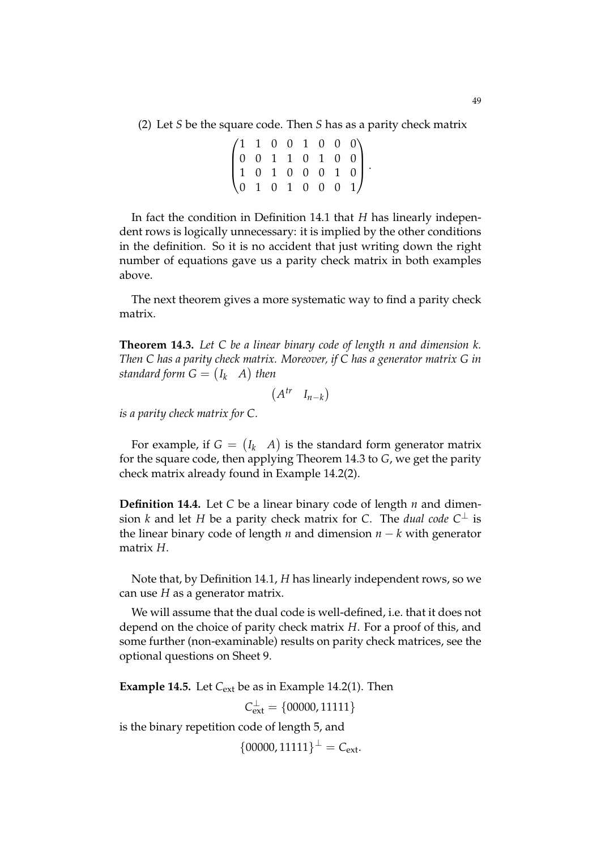(2) Let *S* be the square code. Then *S* has as a parity check matrix

$$
\begin{pmatrix} 1 & 1 & 0 & 0 & 1 & 0 & 0 & 0 \\ 0 & 0 & 1 & 1 & 0 & 1 & 0 & 0 \\ 1 & 0 & 1 & 0 & 0 & 0 & 1 & 0 \\ 0 & 1 & 0 & 1 & 0 & 0 & 0 & 1 \end{pmatrix}.
$$

In fact the condition in Definition 14.1 that *H* has linearly independent rows is logically unnecessary: it is implied by the other conditions in the definition. So it is no accident that just writing down the right number of equations gave us a parity check matrix in both examples above.

The next theorem gives a more systematic way to find a parity check matrix.

**Theorem 14.3.** *Let C be a linear binary code of length n and dimension k. Then C has a parity check matrix. Moreover, if C has a generator matrix G in* standard form  $G = \begin{pmatrix} I_k & A \end{pmatrix}$  then

 $(A^{tr} \t I_{n-k})$ 

*is a parity check matrix for C.*

For example, if  $G = \begin{pmatrix} I_k & A \end{pmatrix}$  is the standard form generator matrix for the square code, then applying Theorem 14.3 to *G*, we get the parity check matrix already found in Example 14.2(2).

**Definition 14.4.** Let *C* be a linear binary code of length *n* and dimension *k* and let *H* be a parity check matrix for *C*. The *dual code*  $C^{\perp}$  is the linear binary code of length *n* and dimension *n* − *k* with generator matrix *H*.

Note that, by Definition 14.1, *H* has linearly independent rows, so we can use *H* as a generator matrix.

We will assume that the dual code is well-defined, i.e. that it does not depend on the choice of parity check matrix *H*. For a proof of this, and some further (non-examinable) results on parity check matrices, see the optional questions on Sheet 9.

**Example 14.5.** Let *C*<sub>ext</sub> be as in Example 14.2(1). Then

 $C_{\text{ext}}^{\perp} = \{00000, 11111\}$ 

is the binary repetition code of length 5, and

 ${00000, 11111}^{\perp} = C_{\text{ext}}.$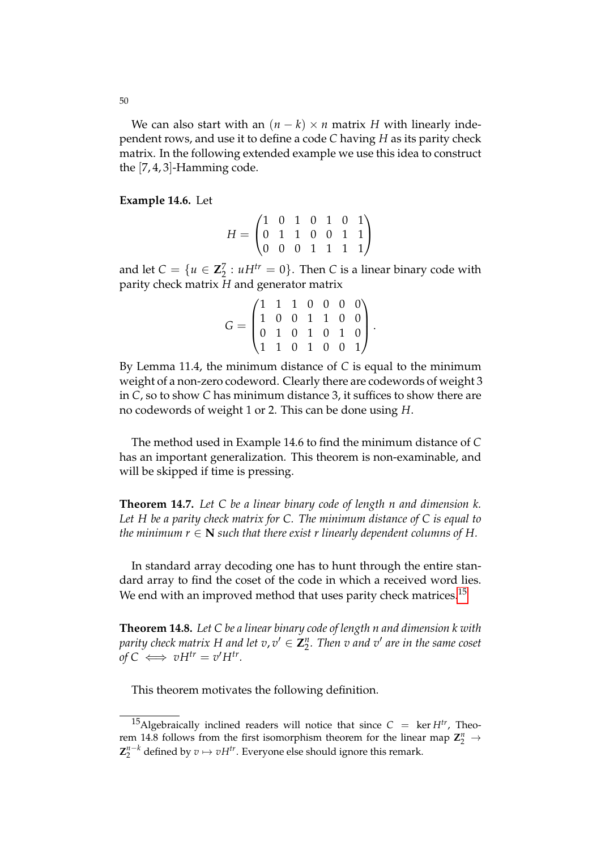We can also start with an  $(n - k) \times n$  matrix *H* with linearly independent rows, and use it to define a code *C* having *H* as its parity check matrix. In the following extended example we use this idea to construct the [7, 4, 3]-Hamming code.

### **Example 14.6.** Let

$$
H = \begin{pmatrix} 1 & 0 & 1 & 0 & 1 & 0 & 1 \\ 0 & 1 & 1 & 0 & 0 & 1 & 1 \\ 0 & 0 & 0 & 1 & 1 & 1 & 1 \end{pmatrix}
$$

and let  $C = \{u \in \mathbb{Z}_2^7 : uH^{tr} = 0\}$ . Then *C* is a linear binary code with parity check matrix *H* and generator matrix

$$
G = \begin{pmatrix} 1 & 1 & 1 & 0 & 0 & 0 & 0 \\ 1 & 0 & 0 & 1 & 1 & 0 & 0 \\ 0 & 1 & 0 & 1 & 0 & 1 & 0 \\ 1 & 1 & 0 & 1 & 0 & 0 & 1 \end{pmatrix}.
$$

By Lemma 11.4, the minimum distance of *C* is equal to the minimum weight of a non-zero codeword. Clearly there are codewords of weight 3 in *C*, so to show *C* has minimum distance 3, it suffices to show there are no codewords of weight 1 or 2. This can be done using *H*.

The method used in Example 14.6 to find the minimum distance of *C* has an important generalization. This theorem is non-examinable, and will be skipped if time is pressing.

**Theorem 14.7.** *Let C be a linear binary code of length n and dimension k. Let H be a parity check matrix for C. The minimum distance of C is equal to the minimum r*  $\in$  **N** *such that there exist r linearly dependent columns of H.* 

In standard array decoding one has to hunt through the entire standard array to find the coset of the code in which a received word lies. We end with an improved method that uses parity check matrices.<sup>[15](#page-49-0)</sup>

**Theorem 14.8.** *Let C be a linear binary code of length n and dimension k with parity check matrix H and let*  $v, v' \in \mathbb{Z}_2^n$ *. Then*  $v$  *and*  $v'$  *are in the same coset*  $of C \iff vH^{tr} = v'H^{tr}.$ 

This theorem motivates the following definition.

<span id="page-49-0"></span><sup>&</sup>lt;sup>15</sup>Algebraically inclined readers will notice that since  $C = \text{ker } H^{tr}$ , Theorem 14.8 follows from the first isomorphism theorem for the linear map  $\mathbb{Z}_2^n \to$  $\mathbf{Z}_{2}^{n-k}$  defined by  $v \mapsto vH^{tr}$ . Everyone else should ignore this remark.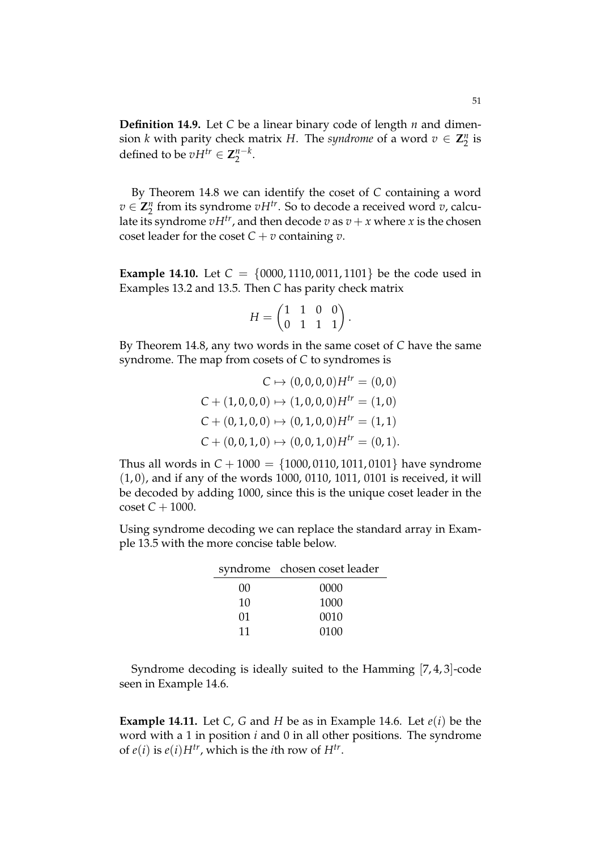**Definition 14.9.** Let *C* be a linear binary code of length *n* and dimension *k* with parity check matrix *H*. The *syndrome* of a word  $v \in \mathbb{Z}_2^n$  is defined to be  $vH^{tr} \in \mathbb{Z}_2^{n-k}$ .

By Theorem 14.8 we can identify the coset of *C* containing a word  $v \in \mathbb{Z}_2^n$  from its syndrome  $vH^{tr}$ . So to decode a received word *v*, calculate its syndrome  $vH^{tr}$ , and then decode  $v$  as  $v + x$  where  $x$  is the chosen coset leader for the coset  $C + v$  containing  $v$ .

**Example 14.10.** Let  $C = \{0000, 1110, 0011, 1101\}$  be the code used in Examples 13.2 and 13.5. Then *C* has parity check matrix

$$
H = \begin{pmatrix} 1 & 1 & 0 & 0 \\ 0 & 1 & 1 & 1 \end{pmatrix}.
$$

By Theorem 14.8, any two words in the same coset of *C* have the same syndrome. The map from cosets of *C* to syndromes is

$$
C \mapsto (0,0,0,0)H^{tr} = (0,0)
$$
  
\n
$$
C + (1,0,0,0) \mapsto (1,0,0,0)H^{tr} = (1,0)
$$
  
\n
$$
C + (0,1,0,0) \mapsto (0,1,0,0)H^{tr} = (1,1)
$$
  
\n
$$
C + (0,0,1,0) \mapsto (0,0,1,0)H^{tr} = (0,1).
$$

Thus all words in  $C + 1000 = \{1000, 0110, 1011, 0101\}$  have syndrome  $(1, 0)$ , and if any of the words 1000, 0110, 1011, 0101 is received, it will be decoded by adding 1000, since this is the unique coset leader in the coset *C* + 1000.

Using syndrome decoding we can replace the standard array in Example 13.5 with the more concise table below.

|    | syndrome chosen coset leader |
|----|------------------------------|
| 00 | 0000                         |
| 10 | 1000                         |
| 01 | 0010                         |
| 11 | 0100                         |

Syndrome decoding is ideally suited to the Hamming [7, 4, 3]-code seen in Example 14.6.

**Example 14.11.** Let *C*, *G* and *H* be as in Example 14.6. Let  $e(i)$  be the word with a 1 in position *i* and 0 in all other positions. The syndrome of  $e(i)$  is  $e(i)H^{tr}$ , which is the *i*th row of  $H^{tr}$ .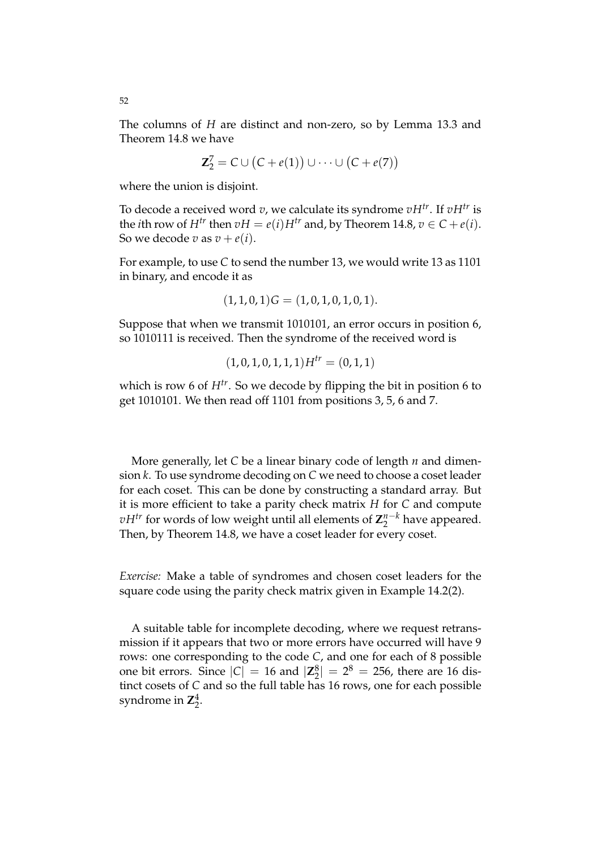The columns of *H* are distinct and non-zero, so by Lemma 13.3 and Theorem 14.8 we have

$$
\mathbf{Z}_2^7 = C \cup (C + e(1)) \cup \cdots \cup (C + e(7))
$$

where the union is disjoint.

To decode a received word *v*, we calculate its syndrome *vHtr*. If *vHtr* is the *i*th row of  $H^{tr}$  then  $vH = e(i)H^{tr}$  and, by Theorem 14.8,  $v \in C + e(i)$ . So we decode *v* as  $v + e(i)$ .

For example, to use *C* to send the number 13, we would write 13 as 1101 in binary, and encode it as

$$
(1,1,0,1)G = (1,0,1,0,1,0,1).
$$

Suppose that when we transmit 1010101, an error occurs in position 6, so 1010111 is received. Then the syndrome of the received word is

$$
(1,0,1,0,1,1,1)H^{tr}=(0,1,1)
$$

which is row 6 of  $H^{tr}$ . So we decode by flipping the bit in position 6 to get 1010101. We then read off 1101 from positions 3, 5, 6 and 7.

More generally, let *C* be a linear binary code of length *n* and dimension *k*. To use syndrome decoding on *C* we need to choose a coset leader for each coset. This can be done by constructing a standard array. But it is more efficient to take a parity check matrix *H* for *C* and compute  $vH^{tr}$  for words of low weight until all elements of  $\mathbf{Z}_{2}^{n-k}$  have appeared. Then, by Theorem 14.8, we have a coset leader for every coset.

*Exercise:* Make a table of syndromes and chosen coset leaders for the square code using the parity check matrix given in Example 14.2(2).

A suitable table for incomplete decoding, where we request retransmission if it appears that two or more errors have occurred will have 9 rows: one corresponding to the code *C*, and one for each of 8 possible one bit errors. Since  $|C| = 16$  and  $|\mathbb{Z}_2^8| = 2^8 = 256$ , there are 16 distinct cosets of *C* and so the full table has 16 rows, one for each possible syndrome in  $\mathbb{Z}_2^4$ .